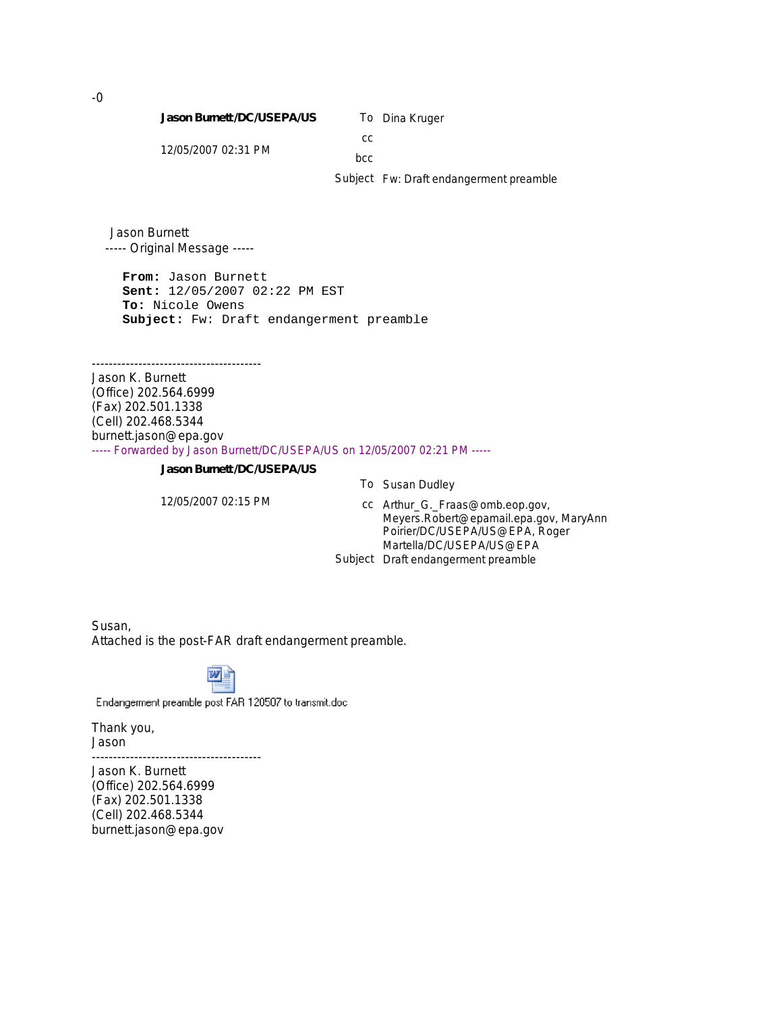**Jason Burnett /DC/USEPA/US**

To Dina Kruger

12/05/2007 02:31 PM

bcc

cc

Subject Fw: Draft endangerment preamble

Jason Burnett ----- Original Message -----

----------------------------------------

**From:** Jason Burnett **Sent:** 12/05/2007 02:22 PM EST **To:** Nicole Owens **Subject:** Fw: Draft endangerment preamble

Jason K. Burnett (Office) 202.564.6999 (Fax) 202.501.1338 (Cell) 202.468.5344 burnett.jason@epa.gov ----- Forwarded by Jason Burnett/DC/USEPA/US on 12/05/2007 02:21 PM -----

**Jason Burnett /DC/USEPA/US**

12/05/2007 02:15 PM

To Susan Dudley

cc Arthur\_G.\_Fraas@omb.eop.gov, Meyers.Robert@epamail.epa.gov, MaryAnn Poirier/DC/USEPA/US@EPA, Roger Martella/DC/USEPA/US@EPA Subject Draft endangerment preamble

Susan, Attached is the post-FAR draft endangerment preamble.



Endangerment preamble post FAR 120507 to transmit.doc

Thank you, Jason ----------------------------------------

Jason K. Burnett (Office) 202.564.6999 (Fax) 202.501.1338 (Cell) 202.468.5344 burnett.jason@epa.gov

-0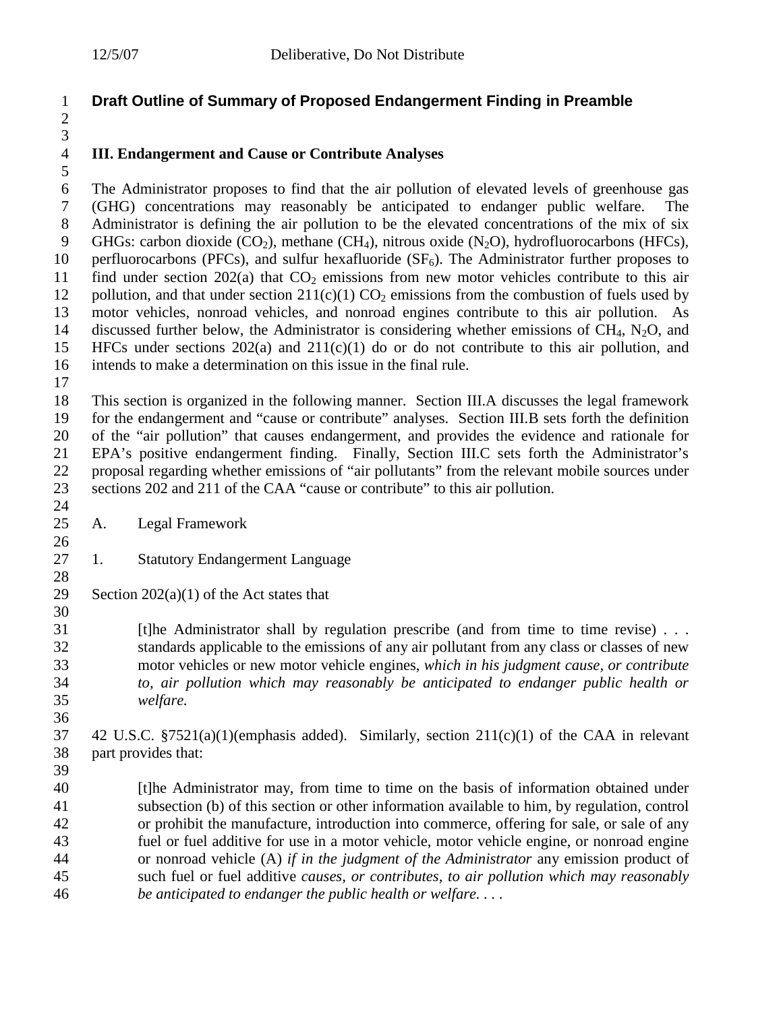# **Draft Outline of Summary of Proposed Endangerment Finding in Preamble**

## **III. Endangerment and Cause or Contribute Analyses**

 The Administrator proposes to find that the air pollution of elevated levels of greenhouse gas (GHG) concentrations may reasonably be anticipated to endanger public welfare. The Administrator is defining the air pollution to be the elevated concentrations of the mix of six 9 GHGs: carbon dioxide  $(CO_2)$ , methane  $(CH_4)$ , nitrous oxide  $(N_2O)$ , hydrofluorocarbons (HFCs), 10 perfluorocarbons (PFCs), and sulfur hexafluoride  $(SF_6)$ . The Administrator further proposes to 11 find under section 202(a) that  $CO<sub>2</sub>$  emissions from new motor vehicles contribute to this air 12 pollution, and that under section  $211(c)(1) CO<sub>2</sub>$  emissions from the combustion of fuels used by<br>13 motor vehicles, nonroad vehicles, and nonroad engines contribute to this air pollution. As motor vehicles, nonroad vehicles, and nonroad engines contribute to this air pollution. As 14 discussed further below, the Administrator is considering whether emissions of CH<sub>4</sub>, N<sub>2</sub>O, and 15 HFCs under sections 202(a) and 211(c)(1) do or do not contribute to this air pollution, and HFCs under sections  $202(a)$  and  $211(c)(1)$  do or do not contribute to this air pollution, and intends to make a determination on this issue in the final rule.

 

 This section is organized in the following manner. Section III.A discusses the legal framework for the endangerment and "cause or contribute" analyses. Section III.B sets forth the definition of the "air pollution" that causes endangerment, and provides the evidence and rationale for EPA's positive endangerment finding. Finally, Section III.C sets forth the Administrator's proposal regarding whether emissions of "air pollutants" from the relevant mobile sources under sections 202 and 211 of the CAA "cause or contribute" to this air pollution.

- $\frac{24}{25}$ A. Legal Framework
- 1. Statutory Endangerment Language
- 29 Section  $202(a)(1)$  of the Act states that

31 [t]he Administrator shall by regulation prescribe (and from time to time revise) . . . 32 standards applicable to the emissions of any air pollutant from any class or classes of new motor vehicles or new motor vehicle engines, *which in his judgment cause, or contribute to, air pollution which may reasonably be anticipated to endanger public health or welfare.*

- 42 U.S.C. §7521(a)(1)(emphasis added). Similarly, section 211(c)(1) of the CAA in relevant part provides that:
- 

 [t]he Administrator may, from time to time on the basis of information obtained under subsection (b) of this section or other information available to him, by regulation, control or prohibit the manufacture, introduction into commerce, offering for sale, or sale of any fuel or fuel additive for use in a motor vehicle, motor vehicle engine, or nonroad engine or nonroad vehicle (A) *if in the judgment of the Administrator* any emission product of such fuel or fuel additive *causes, or contributes, to air pollution which may reasonably be anticipated to endanger the public health or welfare. . . .*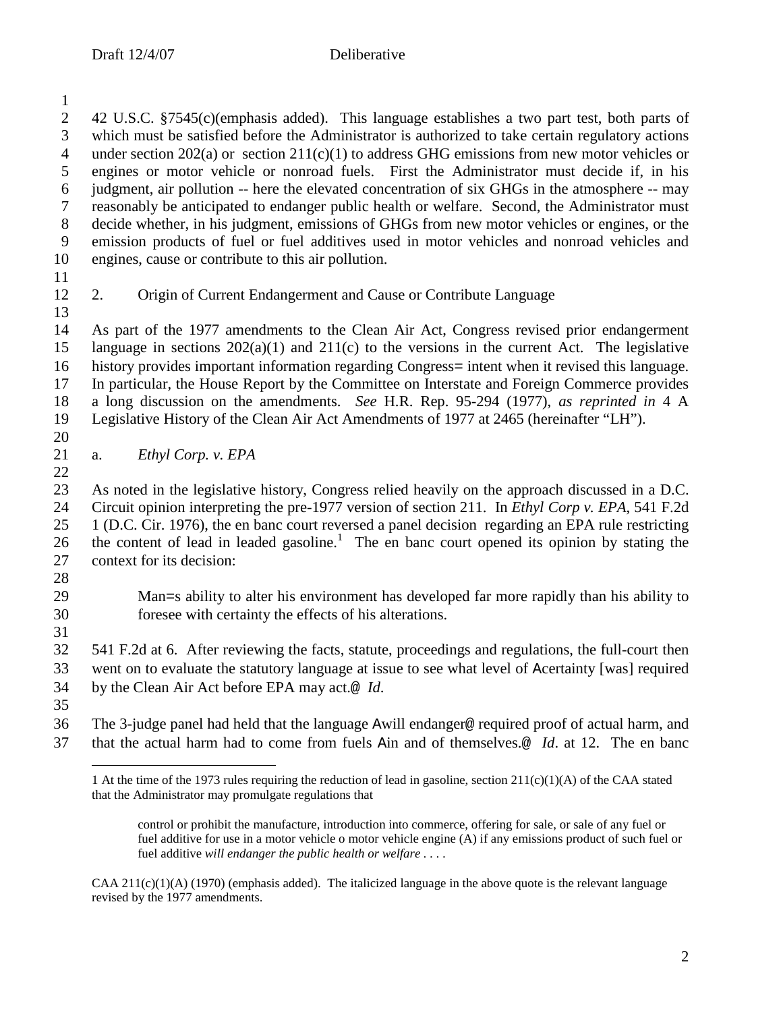2 42 U.S.C. §7545(c)(emphasis added). This language establishes a two part test, both parts of which must be satisfied before the Administrator is authorized to take certain regulatory actions which must be satisfied before the Administrator is authorized to take certain regulatory actions 4 under section 202(a) or section  $211(c)(1)$  to address GHG emissions from new motor vehicles or engines or motor vehicle or nonroad fuels. First the Administrator must decide if, in his engines or motor vehicle or nonroad fuels. First the Administrator must decide if, in his judgment, air pollution -- here the elevated concentration of six GHGs in the atmosphere -- may reasonably be anticipated to endanger public health or welfare. Second, the Administrator must decide whether, in his judgment, emissions of GHGs from new motor vehicles or engines, or the emission products of fuel or fuel additives used in motor vehicles and nonroad vehicles and engines, cause or contribute to this air pollution. 2. Origin of Current Endangerment and Cause or Contribute Language As part of the 1977 amendments to the Clean Air Act, Congress revised prior endangerment language in sections 202(a)(1) and 211(c) to the versions in the current Act. The legislative 16 history provides important information regarding Congress= intent when it revised this language.<br>17 In particular, the House Report by the Committee on Interstate and Foreign Commerce provides In particular, the House Report by the Committee on Interstate and Foreign Commerce provides a long discussion on the amendments. *See* H.R. Rep. 95-294 (1977), *as reprinted in* 4 A Legislative History of the Clean Air Act Amendments of 1977 at 2465 (hereinafter "LH"). a. *Ethyl Corp. v. EPA* As noted in the legislative history, Congress relied heavily on the approach discussed in a D.C. Circuit opinion interpreting the pre-1977 version of section 211. In *Ethyl Corp v. EPA*, 541 F.2d 1 (D.C. Cir. 1976), the en banc court reversed a panel decision regarding an EPA rule restricting 26 the content of lead in leaded gasoline.<sup>1</sup> The en banc court opened its opinion by stating the context for its decision: Man=s ability to alter his environment has developed far more rapidly than his ability to foresee with certainty the effects of his alterations. 541 F.2d at 6. After reviewing the facts, statute, proceedings and regulations, the full-court then went on to evaluate the statutory language at issue to see what level of Acertainty [was] required by the Clean Air Act before EPA may act.@ *Id*.

 The 3-judge panel had held that the language Awill endanger@ required proof of actual harm, and that the actual harm had to come from fuels Ain and of themselves.@ *Id*. at 12. The en banc

 At the time of the 1973 rules requiring the reduction of lead in gasoline, section 211(c)(1)(A) of the CAA stated that the Administrator may promulgate regulations that

control or prohibit the manufacture, introduction into commerce, offering for sale, or sale of any fuel or fuel additive for use in a motor vehicle o motor vehicle engine (A) if any emissions product of such fuel or fuel additive *will endanger the public health or welfare . . . .*

 $CAA 211(c)(1)(A)$  (1970) (emphasis added). The italicized language in the above quote is the relevant language revised by the 1977 amendments.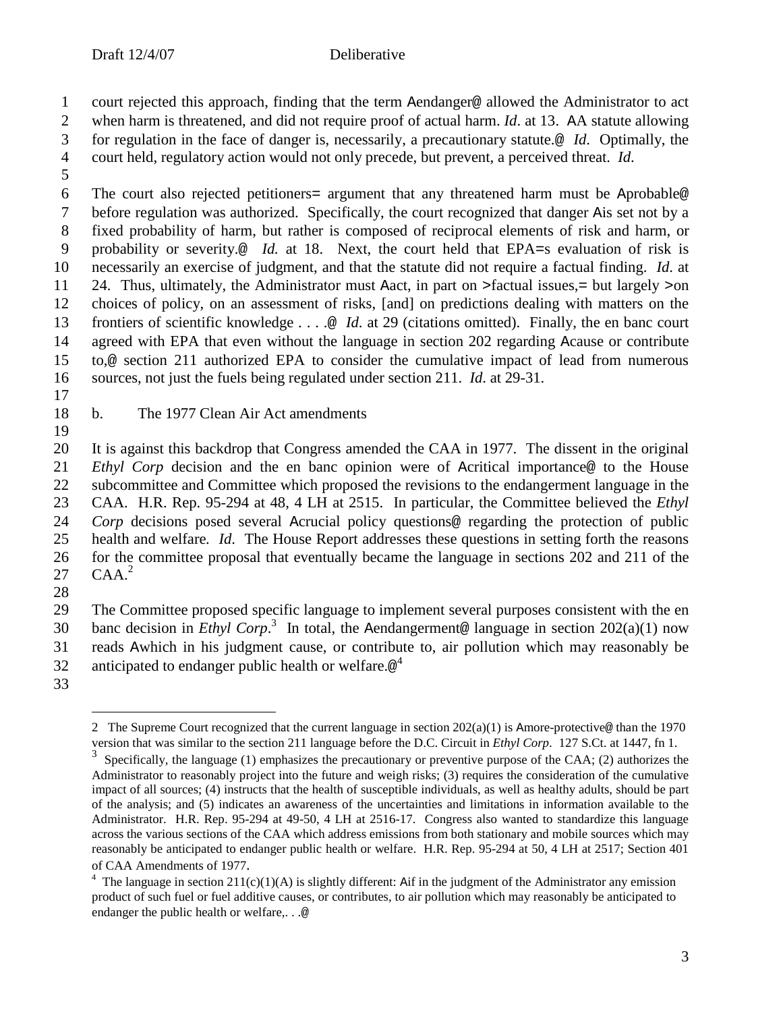court rejected this approach, finding that the term Aendanger@ allowed the Administrator to act

- when harm is threatened, and did not require proof of actual harm. *Id*. at 13. AA statute allowing
- for regulation in the face of danger is, necessarily, a precautionary statute.@ *Id*. Optimally, the court held, regulatory action would not only precede, but prevent, a perceived threat. *Id*.
- 

 The court also rejected petitioners= argument that any threatened harm must be Aprobable@ before regulation was authorized. Specifically, the court recognized that danger Ais set not by a fixed probability of harm, but rather is composed of reciprocal elements of risk and harm, or probability or severity.@ *Id.* at 18. Next, the court held that EPA=s evaluation of risk is necessarily an exercise of judgment, and that the statute did not require a factual finding. *Id*. at 24. Thus, ultimately, the Administrator must Aact, in part on >factual issues,= but largely >on choices of policy, on an assessment of risks, [and] on predictions dealing with matters on the frontiers of scientific knowledge . . . .@ *Id*. at 29 (citations omitted). Finally, the en banc court agreed with EPA that even without the language in section 202 regarding Acause or contribute to,@ section 211 authorized EPA to consider the cumulative impact of lead from numerous sources, not just the fuels being regulated under section 211. *Id*. at 29-31.

## b. The 1977 Clean Air Act amendments

 It is against this backdrop that Congress amended the CAA in 1977. The dissent in the original *Ethyl Corp* decision and the en banc opinion were of Acritical importance@ to the House subcommittee and Committee which proposed the revisions to the endangerment language in the CAA. H.R. Rep. 95-294 at 48, 4 LH at 2515. In particular, the Committee believed the *Ethyl Corp* decisions posed several Acrucial policy questions@ regarding the protection of public health and welfare*. Id*. The House Report addresses these questions in setting forth the reasons for the committee proposal that eventually became the language in sections 202 and 211 of the  $\mathsf{CAA}.^2$ 

 The Committee proposed specific language to implement several purposes consistent with the en 30 banc decision in *Ethyl Corp*.<sup>3</sup> In total, the Aendangerment@ language in section  $202(a)(1)$  now reads Awhich in his judgment cause, or contribute to, air pollution which may reasonably be anticipated to endanger public health or welfare. $\circledcirc^4$ 

<sup>2</sup> The Supreme Court recognized that the current language in section  $202(a)(1)$  is Amore-protective@ than the 1970 version that was similar to the section 211 language before the D.C. Circuit in *Ethyl Corp*. 127 S.Ct. at 1447, fn 1.

 Specifically, the language (1) emphasizes the precautionary or preventive purpose of the CAA; (2) authorizes the Administrator to reasonably project into the future and weigh risks; (3) requires the consideration of the cumulative impact of all sources; (4) instructs that the health of susceptible individuals, as well as healthy adults, should be part of the analysis; and (5) indicates an awareness of the uncertainties and limitations in information available to the Administrator. H.R. Rep. 95-294 at 49-50, 4 LH at 2516-17. Congress also wanted to standardize this language across the various sections of the CAA which address emissions from both stationary and mobile sources which may reasonably be anticipated to endanger public health or welfare. H.R. Rep. 95-294 at 50, 4 LH at 2517; Section 401 of CAA Amendments of 1977.

<sup>&</sup>lt;sup>4</sup> The language in section  $211(c)(1)(A)$  is slightly different: Aif in the judgment of the Administrator any emission product of such fuel or fuel additive causes, or contributes, to air pollution which may reasonably be anticipated to endanger the public health or welfare,. . .@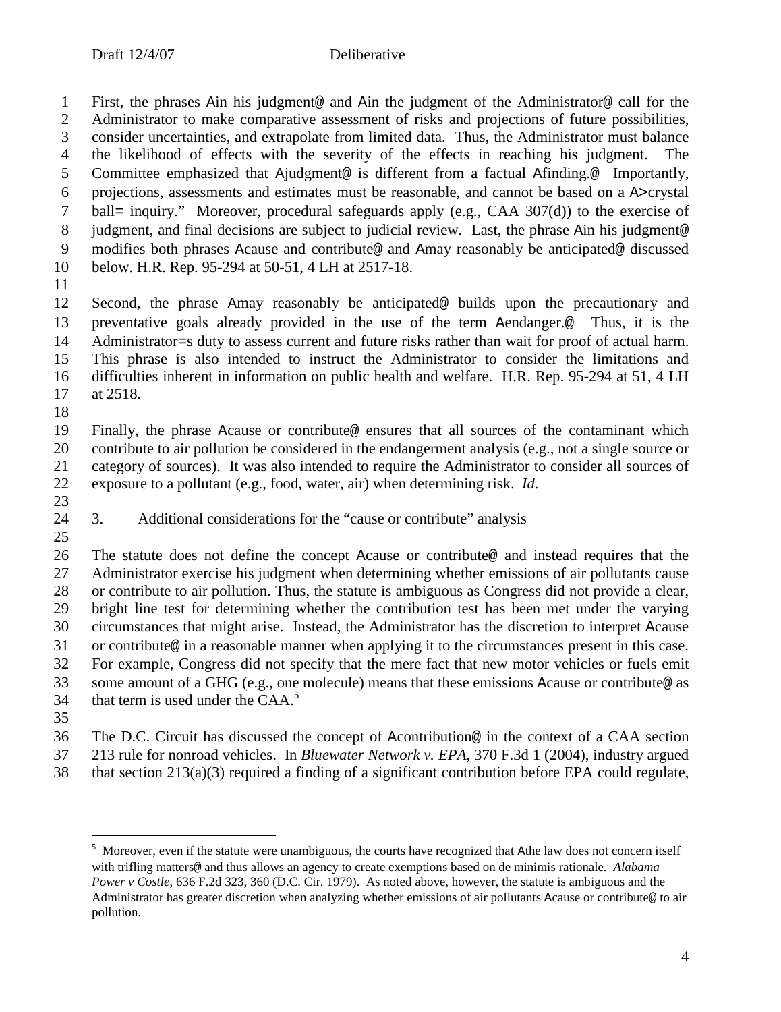First, the phrases Ain his judgment@ and Ain the judgment of the Administrator@ call for the Administrator to make comparative assessment of risks and projections of future possibilities, consider uncertainties, and extrapolate from limited data. Thus, the Administrator must balance 4 the likelihood of effects with the severity of the effects in reaching his judgment. Committee emphasized that Ajudgment@ is different from a factual Afinding.@ Importantly, projections, assessments and estimates must be reasonable, and cannot be based on a A>crystal ball= inquiry." Moreover, procedural safeguards apply (e.g., CAA 307(d)) to the exercise of 8 judgment, and final decisions are subject to judicial review. Last, the phrase Ain his judgment@ modifies both phrases Acause and contribute@ and Amay reasonably be anticipated@ discussed below. H.R. Rep. 95-294 at 50-51, 4 LH at 2517-18.

 Second, the phrase Amay reasonably be anticipated@ builds upon the precautionary and preventative goals already provided in the use of the term Aendanger.@ Thus, it is the Administrator=s duty to assess current and future risks rather than wait for proof of actual harm. This phrase is also intended to instruct the Administrator to consider the limitations and difficulties inherent in information on public health and welfare. H.R. Rep. 95-294 at 51, 4 LH at 2518.

 Finally, the phrase Acause or contribute@ ensures that all sources of the contaminant which contribute to air pollution be considered in the endangerment analysis (e.g., not a single source or category of sources). It was also intended to require the Administrator to consider all sources of exposure to a pollutant (e.g., food, water, air) when determining risk. *Id*.

- $\frac{23}{24}$
- 3. Additional considerations for the "cause or contribute" analysis
- 

 The statute does not define the concept Acause or contribute@ and instead requires that the Administrator exercise his judgment when determining whether emissions of air pollutants cause or contribute to air pollution. Thus, the statute is ambiguous as Congress did not provide a clear, bright line test for determining whether the contribution test has been met under the varying circumstances that might arise. Instead, the Administrator has the discretion to interpret Acause or contribute@ in a reasonable manner when applying it to the circumstances present in this case. For example, Congress did not specify that the mere fact that new motor vehicles or fuels emit some amount of a GHG (e.g., one molecule) means that these emissions Acause or contribute@ as that term is used under the  $CAA$ <sup>5</sup> 

The D.C. Circuit has discussed the concept of Acontribution@ in the context of a CAA section

213 rule for nonroad vehicles. In *Bluewater Network v. EPA*, 370 F.3d 1 (2004), industry argued

that section 213(a)(3) required a finding of a significant contribution before EPA could regulate,

<sup>&</sup>lt;sup>5</sup> Moreover, even if the statute were unambiguous, the courts have recognized that Athe law does not concern itself with trifling matters@ and thus allows an agency to create exemptions based on de minimis rationale. *Alabama Power v Costle*, 636 F.2d 323, 360 (D.C. Cir. 1979). As noted above, however, the statute is ambiguous and the Administrator has greater discretion when analyzing whether emissions of air pollutants Acause or contribute@ to air pollution.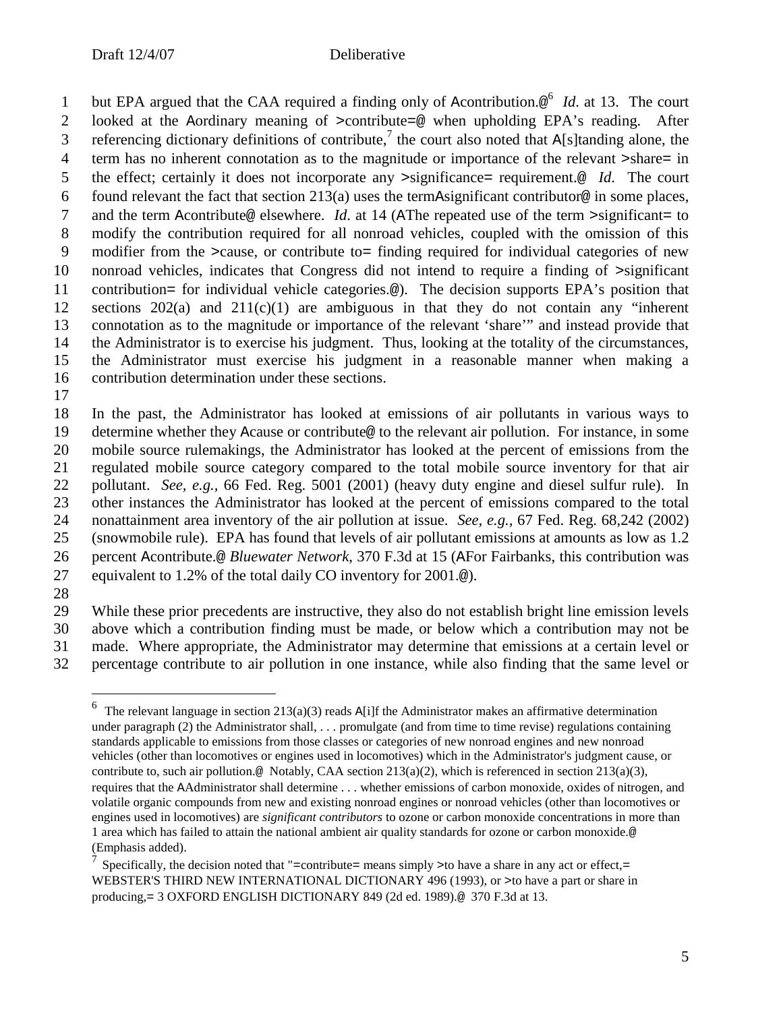1 but EPA argued that the CAA required a finding only of Acontribution.<sup>®</sup> *Id*. at 13. The court looked at the Aordinary meaning of >contribute=@ when upholding EPA's reading. After 3 referencing dictionary definitions of contribute,<sup>7</sup> the court also noted that A[s]tanding alone, the term has no inherent connotation as to the magnitude or importance of the relevant >share= in the effect; certainly it does not incorporate any >significance= requirement.@ *Id*. The court 6 found relevant the fact that section 213(a) uses the termAsignificant contributor@ in some places, and the term Acontribute@ elsewhere. *Id*. at 14 (AThe repeated use of the term >significant= to modify the contribution required for all nonroad vehicles, coupled with the omission of this modifier from the >cause, or contribute to= finding required for individual categories of new nonroad vehicles, indicates that Congress did not intend to require a finding of >significant contribution= for individual vehicle categories.@). The decision supports EPA's position that sections 202(a) and 211(c)(1) are ambiguous in that they do not contain any "inherent connotation as to the magnitude or importance of the relevant 'share'" and instead provide that the Administrator is to exercise his judgment. Thus, looking at the totality of the circumstances, the Administrator must exercise his judgment in a reasonable manner when making a contribution determination under these sections.

 In the past, the Administrator has looked at emissions of air pollutants in various ways to determine whether they Acause or contribute@ to the relevant air pollution. For instance, in some mobile source rulemakings, the Administrator has looked at the percent of emissions from the regulated mobile source category compared to the total mobile source inventory for that air pollutant. *See, e.g.,* 66 Fed. Reg. 5001 (2001) (heavy duty engine and diesel sulfur rule). In other instances the Administrator has looked at the percent of emissions compared to the total nonattainment area inventory of the air pollution at issue. *See, e.g.,* 67 Fed. Reg. 68,242 (2002) (snowmobile rule). EPA has found that levels of air pollutant emissions at amounts as low as 1.2 percent Acontribute.@ *Bluewater Network*, 370 F.3d at 15 (AFor Fairbanks, this contribution was equivalent to 1.2% of the total daily CO inventory for 2001.@).

 While these prior precedents are instructive, they also do not establish bright line emission levels above which a contribution finding must be made, or below which a contribution may not be made. Where appropriate, the Administrator may determine that emissions at a certain level or percentage contribute to air pollution in one instance, while also finding that the same level or

<sup>&</sup>lt;sup>6</sup> The relevant language in section 213(a)(3) reads A[i]f the Administrator makes an affirmative determination under paragraph (2) the Administrator shall, . . . promulgate (and from time to time revise) regulations containing standards applicable to emissions from those classes or categories of new nonroad engines and new nonroad vehicles (other than locomotives or engines used in locomotives) which in the Administrator's judgment cause, or contribute to, such air pollution.@ Notably, CAA section 213(a)(2), which is referenced in section 213(a)(3), requires that the AAdministrator shall determine . . . whether emissions of carbon monoxide, oxides of nitrogen, and volatile organic compounds from new and existing nonroad engines or nonroad vehicles (other than locomotives or engines used in locomotives) are *significant contributors* to ozone or carbon monoxide concentrations in more than 1 area which has failed to attain the national ambient air quality standards for ozone or carbon monoxide.@ (Emphasis added).

<sup>&</sup>lt;sup>7</sup> Specifically, the decision noted that "=contribute= means simply >to have a share in any act or effect,= WEBSTER'S THIRD NEW INTERNATIONAL DICTIONARY 496 (1993), or >to have a part or share in producing,= 3 OXFORD ENGLISH DICTIONARY 849 (2d ed. 1989).@ 370 F.3d at 13.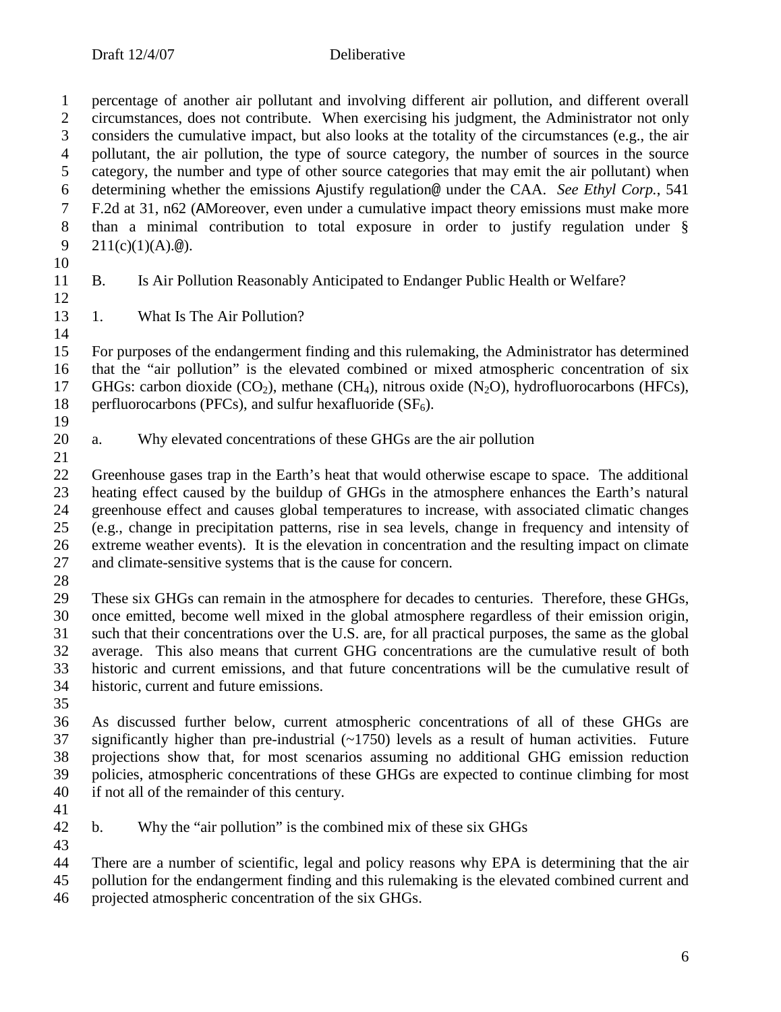percentage of another air pollutant and involving different air pollution, and different overall 2 circumstances, does not contribute. When exercising his judgment, the Administrator not only<br>3 considers the cumulative impact, but also looks at the totality of the circumstances (e.g., the air considers the cumulative impact, but also looks at the totality of the circumstances (e.g., the air 4 pollutant, the air pollution, the type of source category, the number of sources in the source category, the number and type of other source categories that may emit the air pollutant) when category, the number and type of other source categories that may emit the air pollutant) when determining whether the emissions Ajustify regulation@ under the CAA. *See Ethyl Corp.*, 541 F.2d at 31, n62 (AMoreover, even under a cumulative impact theory emissions must make more than a minimal contribution to total exposure in order to justify regulation under § 9 211(c)(1)(A).@).

- 
- 

B. Is Air Pollution Reasonably Anticipated to Endanger Public Health or Welfare?

 1. What Is The Air Pollution? 

 For purposes of the endangerment finding and this rulemaking, the Administrator has determined that the "air pollution" is the elevated combined or mixed atmospheric concentration of six 17 GHGs: carbon dioxide  $(CO_2)$ , methane  $(CH_4)$ , nitrous oxide  $(N_2O)$ , hydrofluorocarbons (HFCs), 18 perfluorocarbons (PFCs), and sulfur hexafluoride (SF<sub>6</sub>). perfluorocarbons (PFCs), and sulfur hexafluoride ( $SF<sub>6</sub>$ ).

- $\frac{19}{20}$
- a. Why elevated concentrations of these GHGs are the air pollution
- 

 Greenhouse gases trap in the Earth's heat that would otherwise escape to space. The additional heating effect caused by the buildup of GHGs in the atmosphere enhances the Earth's natural greenhouse effect and causes global temperatures to increase, with associated climatic changes (e.g., change in precipitation patterns, rise in sea levels, change in frequency and intensity of extreme weather events). It is the elevation in concentration and the resulting impact on climate and climate-sensitive systems that is the cause for concern.

 These six GHGs can remain in the atmosphere for decades to centuries. Therefore, these GHGs, once emitted, become well mixed in the global atmosphere regardless of their emission origin, such that their concentrations over the U.S. are, for all practical purposes, the same as the global average. This also means that current GHG concentrations are the cumulative result of both historic and current emissions, and that future concentrations will be the cumulative result of historic, current and future emissions.

 As discussed further below, current atmospheric concentrations of all of these GHGs are significantly higher than pre-industrial (~1750) levels as a result of human activities. Future projections show that, for most scenarios assuming no additional GHG emission reduction policies, atmospheric concentrations of these GHGs are expected to continue climbing for most if not all of the remainder of this century.

b. Why the "air pollution" is the combined mix of these six GHGs

There are a number of scientific, legal and policy reasons why EPA is determining that the air

 pollution for the endangerment finding and this rulemaking is the elevated combined current and projected atmospheric concentration of the six GHGs.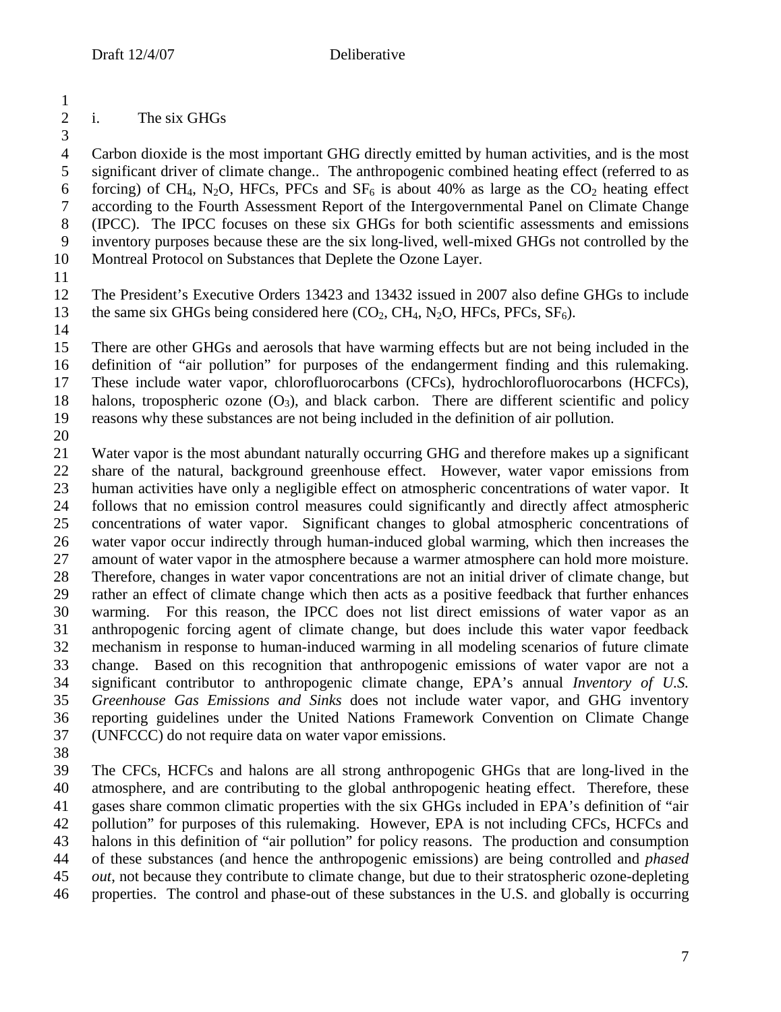# i. The six GHGs

4 Carbon dioxide is the most important GHG directly emitted by human activities, and is the most<br>5 significant driver of climate change.. The anthropogenic combined heating effect (referred to as significant driver of climate change.. The anthropogenic combined heating effect (referred to as 6 forcing) of CH<sub>4</sub>, N<sub>2</sub>O, HFCs, PFCs and  $SF_6$  is about 40% as large as the CO<sub>2</sub> heating effect according to the Fourth Assessment Report of the Intergovernmental Panel on Climate Change (IPCC). The IPCC focuses on these six GHGs for both scientific assessments and emissions inventory purposes because these are the six long-lived, well-mixed GHGs not controlled by the Montreal Protocol on Substances that Deplete the Ozone Layer.

12 The President's Executive Orders 13423 and 13432 issued in 2007 also define GHGs to include<br>13 the same six GHGs being considered here (CO<sub>2</sub>, CH<sub>4</sub>, N<sub>2</sub>O, HFCs, PFCs, SF<sub>6</sub>). the same six GHGs being considered here  $(CO_2, CH_4, N_2O, HFCs, PFCs, SF_6)$ .

 There are other GHGs and aerosols that have warming effects but are not being included in the definition of "air pollution" for purposes of the endangerment finding and this rulemaking. These include water vapor, chlorofluorocarbons (CFCs), hydrochlorofluorocarbons (HCFCs), 18 halons, tropospheric ozone  $(O_3)$ , and black carbon. There are different scientific and policy reasons why these substances are not being included in the definition of air pollution. reasons why these substances are not being included in the definition of air pollution.

 Water vapor is the most abundant naturally occurring GHG and therefore makes up a significant share of the natural, background greenhouse effect. However, water vapor emissions from human activities have only a negligible effect on atmospheric concentrations of water vapor. It follows that no emission control measures could significantly and directly affect atmospheric concentrations of water vapor. Significant changes to global atmospheric concentrations of water vapor occur indirectly through human-induced global warming, which then increases the amount of water vapor in the atmosphere because a warmer atmosphere can hold more moisture. Therefore, changes in water vapor concentrations are not an initial driver of climate change, but rather an effect of climate change which then acts as a positive feedback that further enhances warming. For this reason, the IPCC does not list direct emissions of water vapor as an anthropogenic forcing agent of climate change, but does include this water vapor feedback mechanism in response to human-induced warming in all modeling scenarios of future climate change. Based on this recognition that anthropogenic emissions of water vapor are not a significant contributor to anthropogenic climate change, EPA's annual *Inventory of U.S. Greenhouse Gas Emissions and Sinks* does not include water vapor, and GHG inventory reporting guidelines under the United Nations Framework Convention on Climate Change (UNFCCC) do not require data on water vapor emissions.

 The CFCs, HCFCs and halons are all strong anthropogenic GHGs that are long-lived in the atmosphere, and are contributing to the global anthropogenic heating effect. Therefore, these gases share common climatic properties with the six GHGs included in EPA's definition of "air pollution" for purposes of this rulemaking. However, EPA is not including CFCs, HCFCs and halons in this definition of "air pollution" for policy reasons. The production and consumption of these substances (and hence the anthropogenic emissions) are being controlled and *phased out*, not because they contribute to climate change, but due to their stratospheric ozone-depleting properties. The control and phase-out of these substances in the U.S. and globally is occurring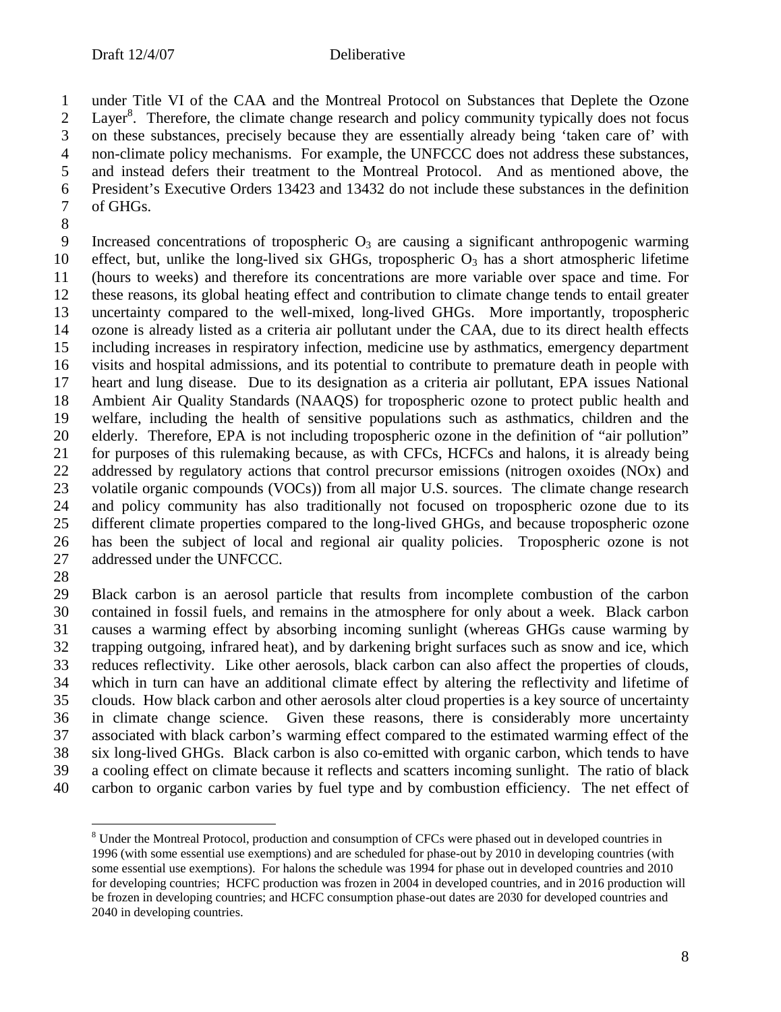under Title VI of the CAA and the Montreal Protocol on Substances that Deplete the Ozone 2 Layer<sup>8</sup>. Therefore, the climate change research and policy community typically does not focus on these substances, precisely because they are essentially already being 'taken care of' with 4 non-climate policy mechanisms. For example, the UNFCCC does not address these substances,<br>5 and instead defers their treatment to the Montreal Protocol. And as mentioned above, the and instead defers their treatment to the Montreal Protocol. And as mentioned above, the President's Executive Orders 13423 and 13432 do not include these substances in the definition of GHGs.

9 Increased concentrations of tropospheric  $O_3$  are causing a significant anthropogenic warming 10 effect, but, unlike the long-lived six GHGs, tropospheric  $O_3$  has a short atmospheric lifetime (hours to weeks) and therefore its concentrations are more variable over space and time. For 12 these reasons, its global heating effect and contribution to climate change tends to entail greater<br>13 uncertainty compared to the well-mixed, long-lived GHGs. More importantly, tropospheric uncertainty compared to the well-mixed, long-lived GHGs. More importantly, tropospheric ozone is already listed as a criteria air pollutant under the CAA, due to its direct health effects including increases in respiratory infection, medicine use by asthmatics, emergency department visits and hospital admissions, and its potential to contribute to premature death in people with heart and lung disease. Due to its designation as a criteria air pollutant, EPA issues National Ambient Air Quality Standards (NAAQS) for tropospheric ozone to protect public health and welfare, including the health of sensitive populations such as asthmatics, children and the elderly. Therefore, EPA is not including tropospheric ozone in the definition of "air pollution" for purposes of this rulemaking because, as with CFCs, HCFCs and halons, it is already being addressed by regulatory actions that control precursor emissions (nitrogen oxoides (NOx) and 23 volatile organic compounds (VOCs)) from all major U.S. sources. The climate change research 24 and policy community has also traditionally not focused on tropospheric ozone due to its<br>25 different climate properties compared to the long-lived GHGs, and because tropospheric ozone different climate properties compared to the long-lived GHGs, and because tropospheric ozone has been the subject of local and regional air quality policies. Tropospheric ozone is not addressed under the UNFCCC.

 Black carbon is an aerosol particle that results from incomplete combustion of the carbon contained in fossil fuels, and remains in the atmosphere for only about a week. Black carbon causes a warming effect by absorbing incoming sunlight (whereas GHGs cause warming by trapping outgoing, infrared heat), and by darkening bright surfaces such as snow and ice, which reduces reflectivity. Like other aerosols, black carbon can also affect the properties of clouds, which in turn can have an additional climate effect by altering the reflectivity and lifetime of clouds. How black carbon and other aerosols alter cloud properties is a key source of uncertainty in climate change science. Given these reasons, there is considerably more uncertainty associated with black carbon's warming effect compared to the estimated warming effect of the six long-lived GHGs. Black carbon is also co-emitted with organic carbon, which tends to have a cooling effect on climate because it reflects and scatters incoming sunlight. The ratio of black carbon to organic carbon varies by fuel type and by combustion efficiency. The net effect of

<sup>&</sup>lt;sup>8</sup> Under the Montreal Protocol, production and consumption of CFCs were phased out in developed countries in 1996 (with some essential use exemptions) and are scheduled for phase-out by 2010 in developing countries (with some essential use exemptions). For halons the schedule was 1994 for phase out in developed countries and 2010 for developing countries; HCFC production was frozen in 2004 in developed countries, and in 2016 production will be frozen in developing countries; and HCFC consumption phase-out dates are 2030 for developed countries and 2040 in developing countries.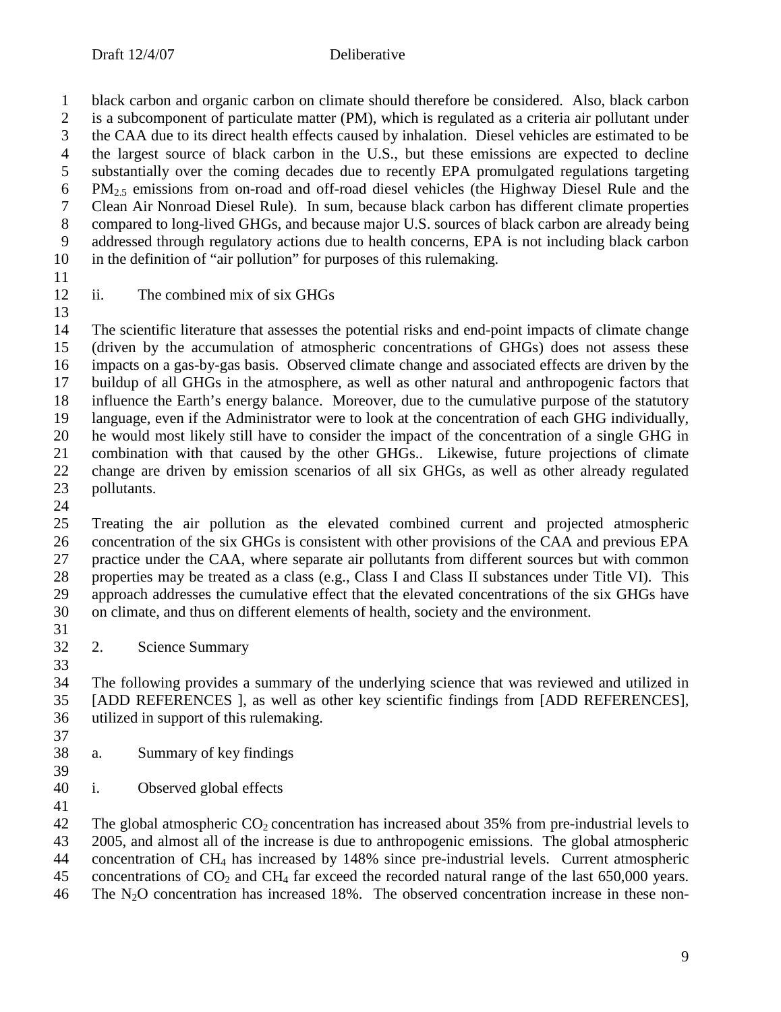black carbon and organic carbon on climate should therefore be considered. Also, black carbon 2 is a subcomponent of particulate matter (PM), which is regulated as a criteria air pollutant under<br>3 the CAA due to its direct health effects caused by inhalation. Diesel vehicles are estimated to be the CAA due to its direct health effects caused by inhalation. Diesel vehicles are estimated to be 4 the largest source of black carbon in the U.S., but these emissions are expected to decline<br>5 substantially over the coming decades due to recently EPA promulgated regulations targeting substantially over the coming decades due to recently EPA promulgated regulations targeting PM2.5 emissions from on-road and off-road diesel vehicles (the Highway Diesel Rule and the Clean Air Nonroad Diesel Rule). In sum, because black carbon has different climate properties compared to long-lived GHGs, and because major U.S. sources of black carbon are already being addressed through regulatory actions due to health concerns, EPA is not including black carbon in the definition of "air pollution" for purposes of this rulemaking.

ii. The combined mix of six GHGs

 The scientific literature that assesses the potential risks and end-point impacts of climate change (driven by the accumulation of atmospheric concentrations of GHGs) does not assess these impacts on a gas-by-gas basis. Observed climate change and associated effects are driven by the buildup of all GHGs in the atmosphere, as well as other natural and anthropogenic factors that influence the Earth's energy balance. Moreover, due to the cumulative purpose of the statutory language, even if the Administrator were to look at the concentration of each GHG individually, he would most likely still have to consider the impact of the concentration of a single GHG in combination with that caused by the other GHGs.. Likewise, future projections of climate change are driven by emission scenarios of all six GHGs, as well as other already regulated pollutants.

 $\frac{24}{25}$ 

 Treating the air pollution as the elevated combined current and projected atmospheric concentration of the six GHGs is consistent with other provisions of the CAA and previous EPA practice under the CAA, where separate air pollutants from different sources but with common properties may be treated as a class (e.g., Class I and Class II substances under Title VI). This approach addresses the cumulative effect that the elevated concentrations of the six GHGs have on climate, and thus on different elements of health, society and the environment. 

2. Science Summary

 The following provides a summary of the underlying science that was reviewed and utilized in [ADD REFERENCES ], as well as other key scientific findings from [ADD REFERENCES], utilized in support of this rulemaking. 

- a. Summary of key findings
- i. Observed global effects
- 

42 The global atmospheric  $CO<sub>2</sub>$  concentration has increased about 35% from pre-industrial levels to 2005, and almost all of the increase is due to anthropogenic emissions. The global atmospheric concentration of CH4 has increased by 148% since pre-industrial levels. Current atmospheric 45 concentrations of  $CO<sub>2</sub>$  and  $CH<sub>4</sub>$  far exceed the recorded natural range of the last 650,000 years. 46 The  $N_2O$  concentration has increased 18%. The observed concentration increase in these non-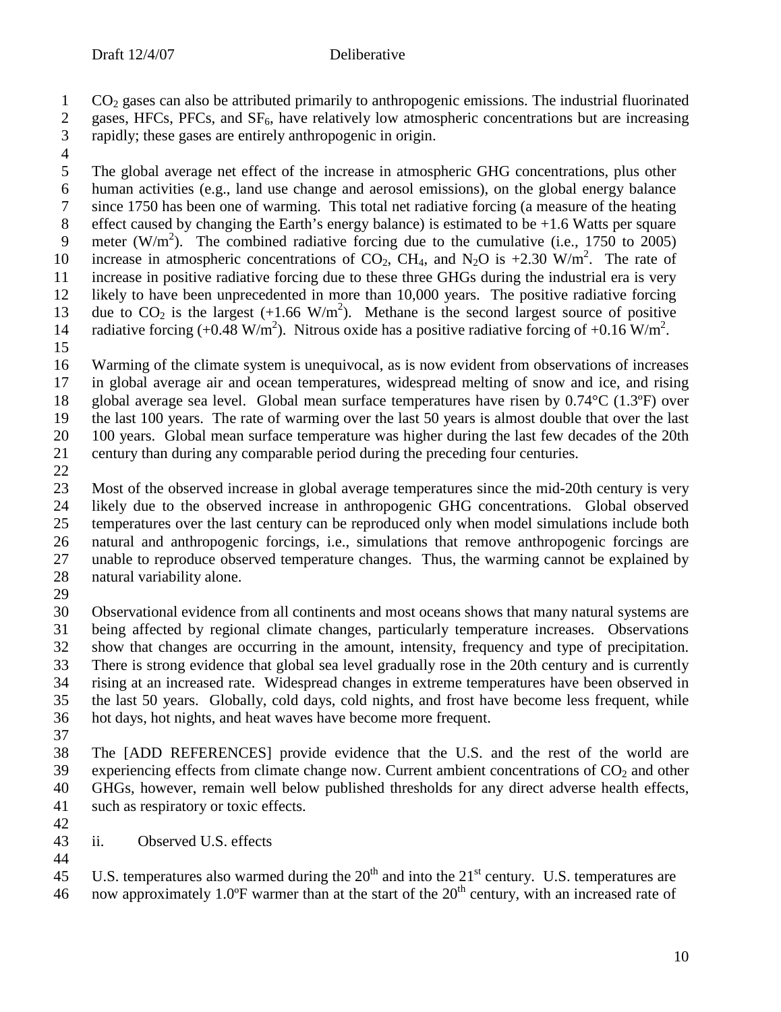- 2 gases, HFCs, PFCs, and  $SF_6$ , have relatively low atmospheric concentrations but are increasing rapidly; these gases are entirely anthropogenic in origin. rapidly; these gases are entirely anthropogenic in origin.
- 

 $\frac{4}{5}$ The global average net effect of the increase in atmospheric GHG concentrations, plus other human activities (e.g., land use change and aerosol emissions), on the global energy balance since 1750 has been one of warming. This total net radiative forcing (a measure of the heating 8 effect caused by changing the Earth's energy balance) is estimated to be  $+1.6$  Watts per square 9 meter (W/m<sup>2</sup>). The combined radiative forcing due to the cumulative (i.e., 1750 to 2005) 10 increase in atmospheric concentrations of  $CO_2$ , CH<sub>4</sub>, and N<sub>2</sub>O is +2.30 W/m<sup>2</sup>. The rate of increase in positive radiative forcing due to these three GHGs during the industrial era is very 12 likely to have been unprecedented in more than 10,000 years. The positive radiative forcing<br>13 due to  $CO_2$  is the largest (+1.66 W/m<sup>2</sup>). Methane is the second largest source of positive 13 due to  $CO_2$  is the largest  $(+1.66 \text{ W/m}^2)$ . Methane is the second largest source of positive 14 radiative forcing  $(+0.48 \text{ W/m}^2)$ . Nitrous oxide has a positive radiative forcing of  $+0.16 \text{ W/m}^2$ .

 Warming of the climate system is unequivocal, as is now evident from observations of increases in global average air and ocean temperatures, widespread melting of snow and ice, and rising global average sea level. Global mean surface temperatures have risen by 0.74°C (1.3ºF) over the last 100 years. The rate of warming over the last 50 years is almost double that over the last 100 years. Global mean surface temperature was higher during the last few decades of the 20th century than during any comparable period during the preceding four centuries.

 Most of the observed increase in global average temperatures since the mid-20th century is very 24 likely due to the observed increase in anthropogenic GHG concentrations. Global observed<br>25 temperatures over the last century can be reproduced only when model simulations include both temperatures over the last century can be reproduced only when model simulations include both natural and anthropogenic forcings, i.e., simulations that remove anthropogenic forcings are unable to reproduce observed temperature changes. Thus, the warming cannot be explained by natural variability alone.

 Observational evidence from all continents and most oceans shows that many natural systems are being affected by regional climate changes, particularly temperature increases. Observations show that changes are occurring in the amount, intensity, frequency and type of precipitation. There is strong evidence that global sea level gradually rose in the 20th century and is currently rising at an increased rate. Widespread changes in extreme temperatures have been observed in the last 50 years. Globally, cold days, cold nights, and frost have become less frequent, while hot days, hot nights, and heat waves have become more frequent.

 The [ADD REFERENCES] provide evidence that the U.S. and the rest of the world are 39 experiencing effects from climate change now. Current ambient concentrations of  $CO<sub>2</sub>$  and other GHGs, however, remain well below published thresholds for any direct adverse health effects, such as respiratory or toxic effects.

- 
- ii. Observed U.S. effects

45 U.S. temperatures also warmed during the  $20<sup>th</sup>$  and into the  $21<sup>st</sup>$  century. U.S. temperatures are 46 now approximately 1.0 $\overline{P}$  warmer than at the start of the 20<sup>th</sup> century, with an increased rate of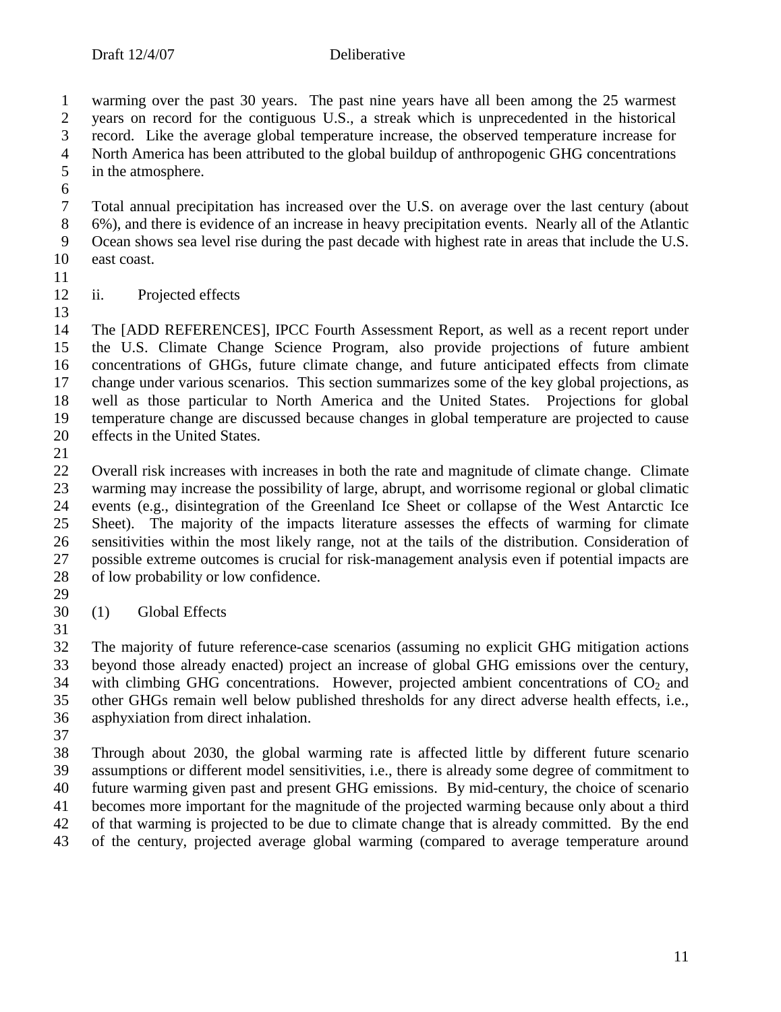warming over the past 30 years. The past nine years have all been among the 25 warmest 2 years on record for the contiguous U.S., a streak which is unprecedented in the historical<br>3 record. Like the average global temperature increase, the observed temperature increase for record. Like the average global temperature increase, the observed temperature increase for 4 North America has been attributed to the global buildup of anthropogenic GHG concentrations<br>5 in the atmosphere. in the atmosphere.

 Total annual precipitation has increased over the U.S. on average over the last century (about 6%), and there is evidence of an increase in heavy precipitation events. Nearly all of the Atlantic Ocean shows sea level rise during the past decade with highest rate in areas that include the U.S. east coast.

 ii. Projected effects 

14 The [ADD REFERENCES], IPCC Fourth Assessment Report, as well as a recent report under<br>15 the U.S. Climate Change Science Program, also provide projections of future ambient the U.S. Climate Change Science Program, also provide projections of future ambient concentrations of GHGs, future climate change, and future anticipated effects from climate change under various scenarios. This section summarizes some of the key global projections, as well as those particular to North America and the United States. Projections for global temperature change are discussed because changes in global temperature are projected to cause effects in the United States.

 Overall risk increases with increases in both the rate and magnitude of climate change. Climate warming may increase the possibility of large, abrupt, and worrisome regional or global climatic events (e.g., disintegration of the Greenland Ice Sheet or collapse of the West Antarctic Ice Sheet). The majority of the impacts literature assesses the effects of warming for climate sensitivities within the most likely range, not at the tails of the distribution. Consideration of possible extreme outcomes is crucial for risk-management analysis even if potential impacts are of low probability or low confidence. 

- (1) Global Effects
- 

 The majority of future reference-case scenarios (assuming no explicit GHG mitigation actions beyond those already enacted) project an increase of global GHG emissions over the century, with climbing GHG concentrations. However, projected ambient concentrations of  $CO<sub>2</sub>$  and other GHGs remain well below published thresholds for any direct adverse health effects, i.e., asphyxiation from direct inhalation.

 Through about 2030, the global warming rate is affected little by different future scenario assumptions or different model sensitivities, i.e., there is already some degree of commitment to future warming given past and present GHG emissions. By mid-century, the choice of scenario becomes more important for the magnitude of the projected warming because only about a third of that warming is projected to be due to climate change that is already committed. By the end of the century, projected average global warming (compared to average temperature around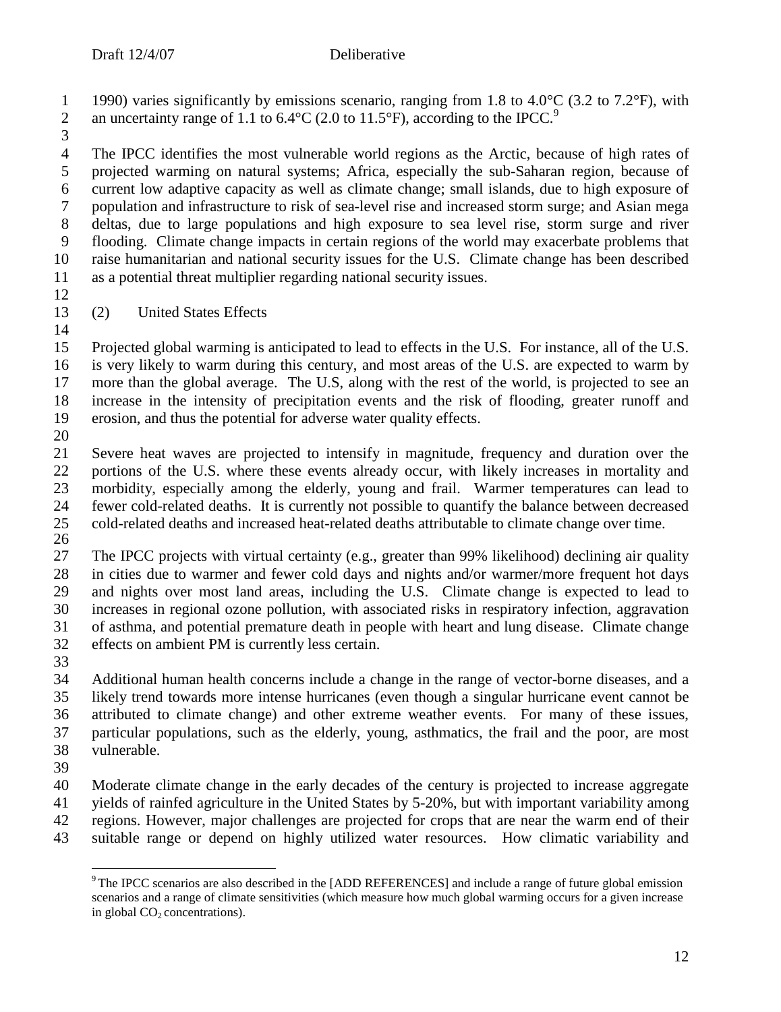1 1990) varies significantly by emissions scenario, ranging from 1.8 to 4.0 $\degree$ C (3.2 to 7.2 $\degree$ F), with an uncertainty range of 1.1 to 6.4 $\degree$ C (2.0 to 11.5 $\degree$ F), according to the IPCC.<sup>9</sup> 

4 The IPCC identifies the most vulnerable world regions as the Arctic, because of high rates of projected warming on natural systems; Africa, especially the sub-Saharan region, because of projected warming on natural systems; Africa, especially the sub-Saharan region, because of current low adaptive capacity as well as climate change; small islands, due to high exposure of population and infrastructure to risk of sea-level rise and increased storm surge; and Asian mega deltas, due to large populations and high exposure to sea level rise, storm surge and river flooding. Climate change impacts in certain regions of the world may exacerbate problems that raise humanitarian and national security issues for the U.S. Climate change has been described as a potential threat multiplier regarding national security issues.

 $\frac{12}{13}$ 

(2) United States Effects

 Projected global warming is anticipated to lead to effects in the U.S. For instance, all of the U.S. is very likely to warm during this century, and most areas of the U.S. are expected to warm by more than the global average. The U.S, along with the rest of the world, is projected to see an increase in the intensity of precipitation events and the risk of flooding, greater runoff and erosion, and thus the potential for adverse water quality effects.

 Severe heat waves are projected to intensify in magnitude, frequency and duration over the portions of the U.S. where these events already occur, with likely increases in mortality and morbidity, especially among the elderly, young and frail. Warmer temperatures can lead to 24 fewer cold-related deaths. It is currently not possible to quantify the balance between decreased<br>25 cold-related deaths and increased heat-related deaths attributable to climate change over time. cold-related deaths and increased heat-related deaths attributable to climate change over time. 

 The IPCC projects with virtual certainty (e.g., greater than 99% likelihood) declining air quality in cities due to warmer and fewer cold days and nights and/or warmer/more frequent hot days 29 and nights over most land areas, including the U.S. Climate change is expected to lead to increases in regional ozone pollution, with associated risks in respiratory infection, aggravation increases in regional ozone pollution, with associated risks in respiratory infection, aggravation of asthma, and potential premature death in people with heart and lung disease. Climate change effects on ambient PM is currently less certain.

 Additional human health concerns include a change in the range of vector-borne diseases, and a likely trend towards more intense hurricanes (even though a singular hurricane event cannot be attributed to climate change) and other extreme weather events. For many of these issues, particular populations, such as the elderly, young, asthmatics, the frail and the poor, are most vulnerable.

 Moderate climate change in the early decades of the century is projected to increase aggregate yields of rainfed agriculture in the United States by 5-20%, but with important variability among regions. However, major challenges are projected for crops that are near the warm end of their suitable range or depend on highly utilized water resources. How climatic variability and

<sup>&</sup>lt;sup>9</sup> The IPCC scenarios are also described in the [ADD REFERENCES] and include a range of future global emission scenarios and a range of climate sensitivities (which measure how much global warming occurs for a given increase in global  $CO<sub>2</sub>$  concentrations).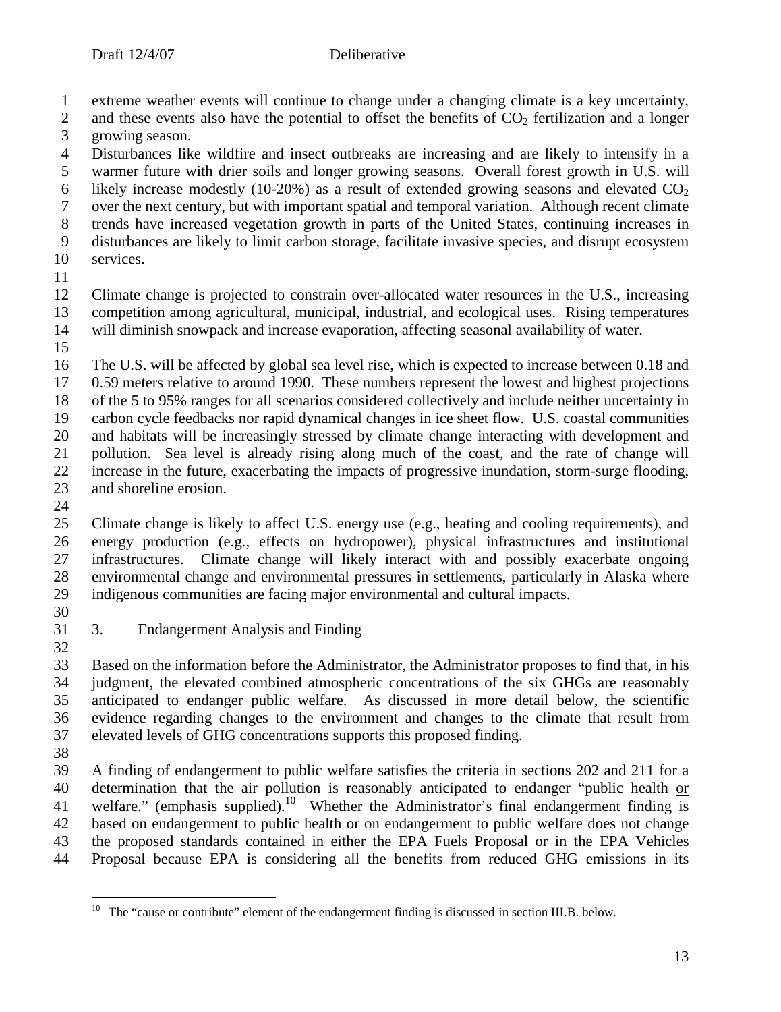extreme weather events will continue to change under a changing climate is a key uncertainty,

2 and these events also have the potential to offset the benefits of  $CO<sub>2</sub>$  fertilization and a longer growing season. growing season.

4 Disturbances like wildfire and insect outbreaks are increasing and are likely to intensify in a<br>5 warmer future with drier soils and longer growing seasons. Overall forest growth in U.S. will warmer future with drier soils and longer growing seasons. Overall forest growth in U.S. will 6 likely increase modestly (10-20%) as a result of extended growing seasons and elevated  $CO<sub>2</sub>$  over the next century, but with important spatial and temporal variation. Although recent climate trends have increased vegetation growth in parts of the United States, continuing increases in disturbances are likely to limit carbon storage, facilitate invasive species, and disrupt ecosystem

services.

12 Climate change is projected to constrain over-allocated water resources in the U.S., increasing<br>13 competition among agricultural, municipal, industrial, and ecological uses. Rising temperatures competition among agricultural, municipal, industrial, and ecological uses. Rising temperatures will diminish snowpack and increase evaporation, affecting seasonal availability of water.

 The U.S. will be affected by global sea level rise, which is expected to increase between 0.18 and 0.59 meters relative to around 1990. These numbers represent the lowest and highest projections of the 5 to 95% ranges for all scenarios considered collectively and include neither uncertainty in carbon cycle feedbacks nor rapid dynamical changes in ice sheet flow. U.S. coastal communities and habitats will be increasingly stressed by climate change interacting with development and pollution. Sea level is already rising along much of the coast, and the rate of change will increase in the future, exacerbating the impacts of progressive inundation, storm-surge flooding, and shoreline erosion.

 $\frac{24}{25}$ 

 Climate change is likely to affect U.S. energy use (e.g., heating and cooling requirements), and energy production (e.g., effects on hydropower), physical infrastructures and institutional infrastructures. Climate change will likely interact with and possibly exacerbate ongoing environmental change and environmental pressures in settlements, particularly in Alaska where indigenous communities are facing major environmental and cultural impacts.

3. Endangerment Analysis and Finding

 Based on the information before the Administrator, the Administrator proposes to find that, in his judgment, the elevated combined atmospheric concentrations of the six GHGs are reasonably anticipated to endanger public welfare. As discussed in more detail below, the scientific evidence regarding changes to the environment and changes to the climate that result from elevated levels of GHG concentrations supports this proposed finding.

 A finding of endangerment to public welfare satisfies the criteria in sections 202 and 211 for a determination that the air pollution is reasonably anticipated to endanger "public health or 41 welfare." (emphasis supplied).<sup>10</sup> Whether the Administrator's final endangerment finding is based on endangerment to public health or on endangerment to public welfare does not change the proposed standards contained in either the EPA Fuels Proposal or in the EPA Vehicles Proposal because EPA is considering all the benefits from reduced GHG emissions in its

The "cause or contribute" element of the endangerment finding is discussed in section III.B. below.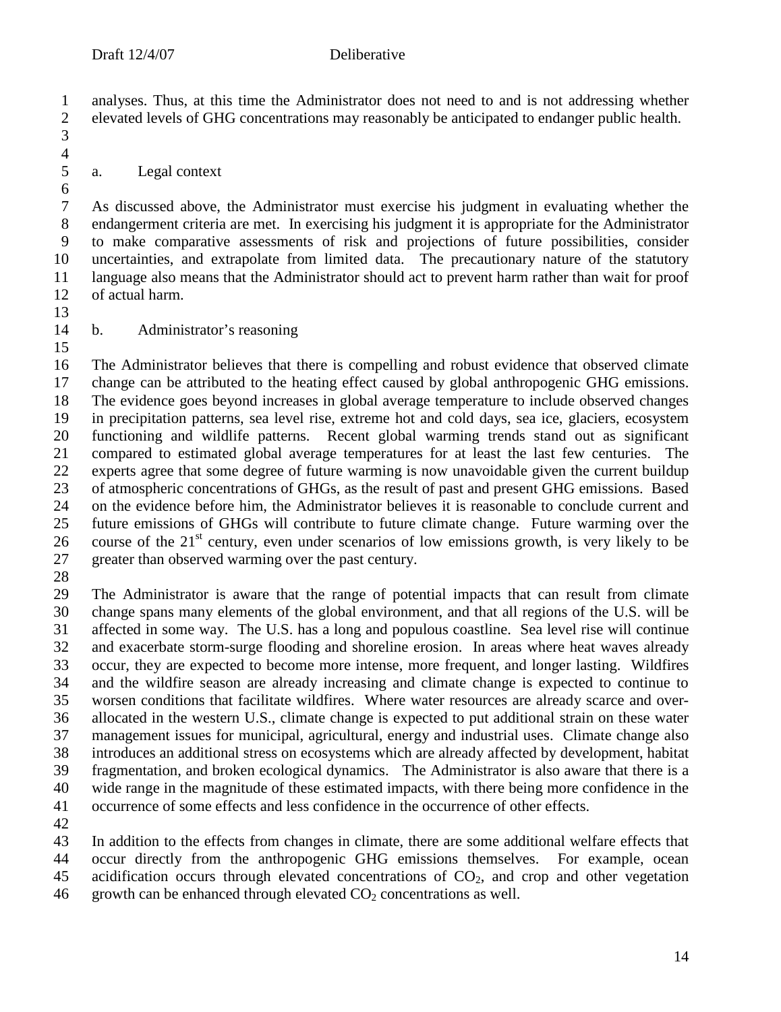analyses. Thus, at this time the Administrator does not need to and is not addressing whether elevated levels of GHG concentrations may reasonably be anticipated to endanger public health. 

## a. Legal context

 As discussed above, the Administrator must exercise his judgment in evaluating whether the endangerment criteria are met. In exercising his judgment it is appropriate for the Administrator to make comparative assessments of risk and projections of future possibilities, consider uncertainties, and extrapolate from limited data. The precautionary nature of the statutory language also means that the Administrator should act to prevent harm rather than wait for proof of actual harm.

 $\frac{4}{5}$ 

b. Administrator's reasoning

 The Administrator believes that there is compelling and robust evidence that observed climate change can be attributed to the heating effect caused by global anthropogenic GHG emissions. The evidence goes beyond increases in global average temperature to include observed changes in precipitation patterns, sea level rise, extreme hot and cold days, sea ice, glaciers, ecosystem functioning and wildlife patterns. Recent global warming trends stand out as significant compared to estimated global average temperatures for at least the last few centuries. The experts agree that some degree of future warming is now unavoidable given the current buildup of atmospheric concentrations of GHGs, as the result of past and present GHG emissions. Based 24 on the evidence before him, the Administrator believes it is reasonable to conclude current and<br>25 future emissions of GHGs will contribute to future climate change. Future warming over the future emissions of GHGs will contribute to future climate change. Future warming over the 26 course of the  $21<sup>st</sup>$  century, even under scenarios of low emissions growth, is very likely to be greater than observed warming over the past century.

 The Administrator is aware that the range of potential impacts that can result from climate change spans many elements of the global environment, and that all regions of the U.S. will be affected in some way. The U.S. has a long and populous coastline. Sea level rise will continue and exacerbate storm-surge flooding and shoreline erosion. In areas where heat waves already occur, they are expected to become more intense, more frequent, and longer lasting. Wildfires and the wildfire season are already increasing and climate change is expected to continue to worsen conditions that facilitate wildfires. Where water resources are already scarce and over- allocated in the western U.S., climate change is expected to put additional strain on these water management issues for municipal, agricultural, energy and industrial uses. Climate change also introduces an additional stress on ecosystems which are already affected by development, habitat fragmentation, and broken ecological dynamics. The Administrator is also aware that there is a wide range in the magnitude of these estimated impacts, with there being more confidence in the occurrence of some effects and less confidence in the occurrence of other effects.

 In addition to the effects from changes in climate, there are some additional welfare effects that occur directly from the anthropogenic GHG emissions themselves. For example, ocean

45 acidification occurs through elevated concentrations of  $CO<sub>2</sub>$ , and crop and other vegetation 46 growth can be enhanced through elevated  $CO<sub>2</sub>$  concentrations as well.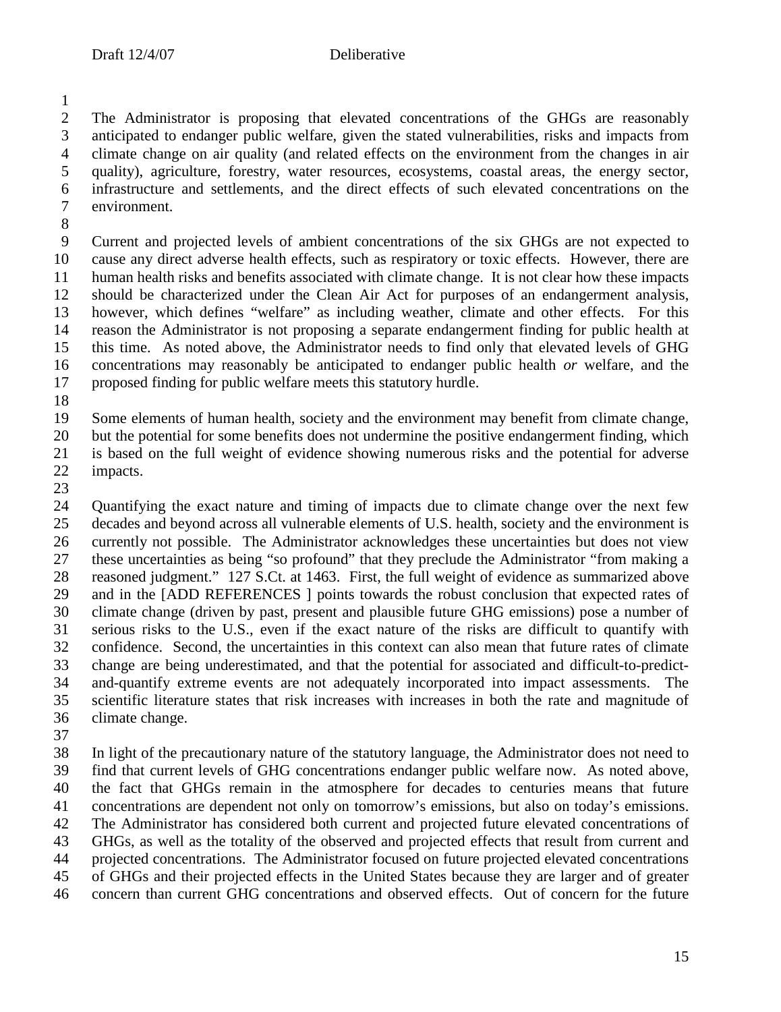2 The Administrator is proposing that elevated concentrations of the GHGs are reasonably<br>3 anticipated to endanger public welfare, given the stated vulnerabilities, risks and impacts from anticipated to endanger public welfare, given the stated vulnerabilities, risks and impacts from 4 climate change on air quality (and related effects on the environment from the changes in air<br>5 quality), agriculture, forestry, water resources, ecosystems, coastal areas, the energy sector, quality), agriculture, forestry, water resources, ecosystems, coastal areas, the energy sector, infrastructure and settlements, and the direct effects of such elevated concentrations on the environment.

 Current and projected levels of ambient concentrations of the six GHGs are not expected to cause any direct adverse health effects, such as respiratory or toxic effects. However, there are human health risks and benefits associated with climate change. It is not clear how these impacts 12 should be characterized under the Clean Air Act for purposes of an endangerment analysis,<br>13 however, which defines "welfare" as including weather, climate and other effects. For this however, which defines "welfare" as including weather, climate and other effects. For this reason the Administrator is not proposing a separate endangerment finding for public health at this time. As noted above, the Administrator needs to find only that elevated levels of GHG concentrations may reasonably be anticipated to endanger public health *or* welfare, and the proposed finding for public welfare meets this statutory hurdle.

Some elements of human health, society and the environment may benefit from climate change,

but the potential for some benefits does not undermine the positive endangerment finding, which

is based on the full weight of evidence showing numerous risks and the potential for adverse

 impacts. 

24 Quantifying the exact nature and timing of impacts due to climate change over the next few<br>25 decades and beyond across all vulnerable elements of U.S. health, society and the environment is decades and beyond across all vulnerable elements of U.S. health, society and the environment is currently not possible. The Administrator acknowledges these uncertainties but does not view these uncertainties as being "so profound" that they preclude the Administrator "from making a reasoned judgment." 127 S.Ct. at 1463. First, the full weight of evidence as summarized above and in the [ADD REFERENCES ] points towards the robust conclusion that expected rates of climate change (driven by past, present and plausible future GHG emissions) pose a number of serious risks to the U.S., even if the exact nature of the risks are difficult to quantify with confidence. Second, the uncertainties in this context can also mean that future rates of climate change are being underestimated, and that the potential for associated and difficult-to-predict- and-quantify extreme events are not adequately incorporated into impact assessments. The scientific literature states that risk increases with increases in both the rate and magnitude of climate change.

 In light of the precautionary nature of the statutory language, the Administrator does not need to find that current levels of GHG concentrations endanger public welfare now. As noted above, the fact that GHGs remain in the atmosphere for decades to centuries means that future concentrations are dependent not only on tomorrow's emissions, but also on today's emissions. The Administrator has considered both current and projected future elevated concentrations of GHGs, as well as the totality of the observed and projected effects that result from current and projected concentrations. The Administrator focused on future projected elevated concentrations of GHGs and their projected effects in the United States because they are larger and of greater concern than current GHG concentrations and observed effects. Out of concern for the future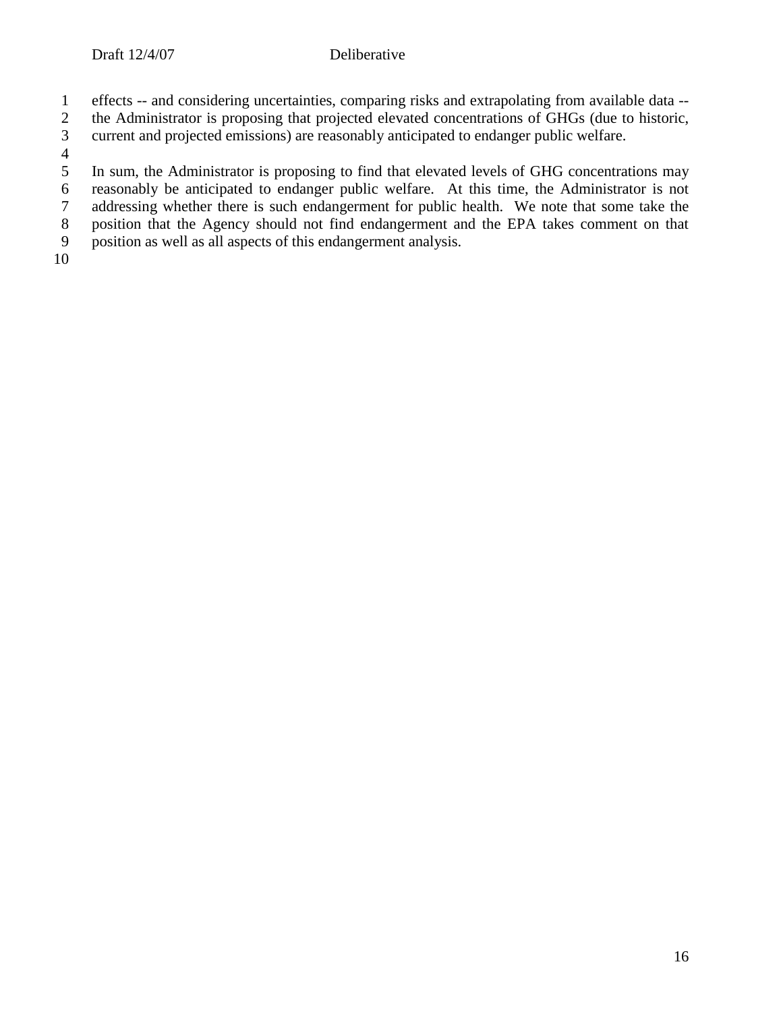- 1 effects -- and considering uncertainties, comparing risks and extrapolating from available data --
- 2 the Administrator is proposing that projected elevated concentrations of GHGs (due to historic, current and projected emissions) are reasonably anticipated to endanger public welfare.
- 3 current and projected emissions) are reasonably anticipated to endanger public welfare.
- $\frac{4}{5}$
- 5 In sum, the Administrator is proposing to find that elevated levels of GHG concentrations may reasonably be anticipated to endanger public welfare. At this time, the Administrator is not reasonably be anticipated to endanger public welfare. At this time, the Administrator is not
- 
- 7 addressing whether there is such endangerment for public health. We note that some take the position that the Agency should not find endangerment and the EPA takes comment on that 8 position that the Agency should not find endangerment and the EPA takes comment on that position as well as all aspects of this endangerment analysis.
- 9 position as well as all aspects of this endangerment analysis.
- 10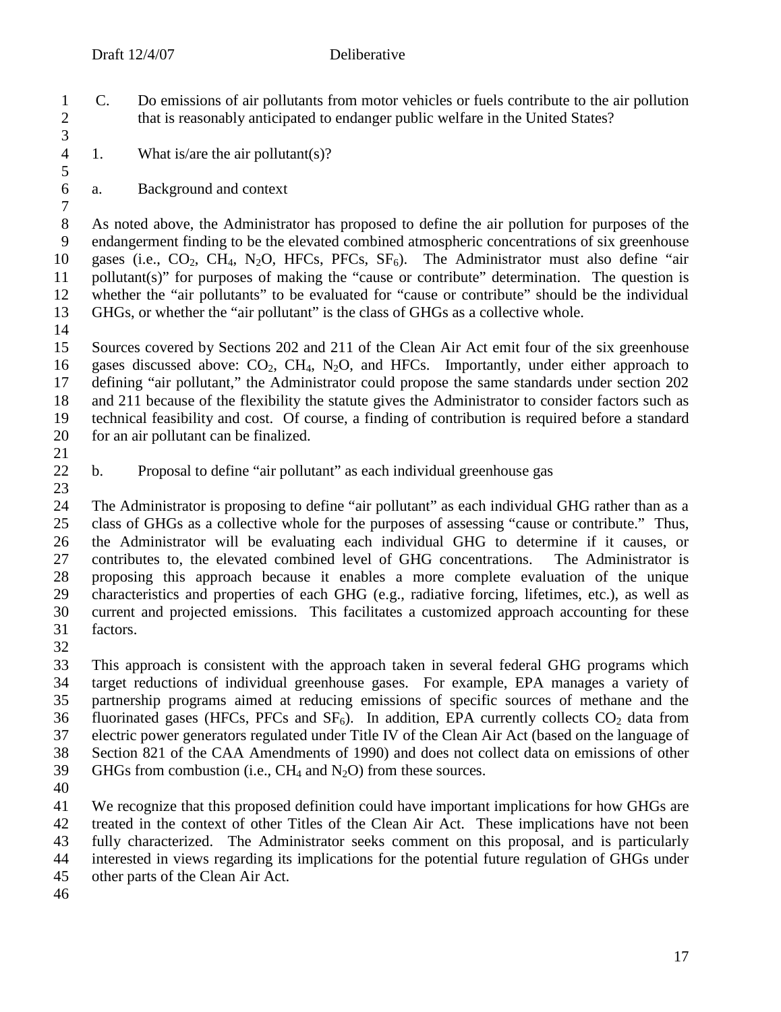- C. Do emissions of air pollutants from motor vehicles or fuels contribute to the air pollution 2 that is reasonably anticipated to endanger public welfare in the United States?
- 4 1. What is/are the air pollutant(s)?
- a. Background and context

 As noted above, the Administrator has proposed to define the air pollution for purposes of the endangerment finding to be the elevated combined atmospheric concentrations of six greenhouse 10 gases (i.e.,  $CO_2$ ,  $CH_4$ , N<sub>2</sub>O, HFCs, PFCs,  $SF_6$ ). The Administrator must also define "air pollutant(s)" for purposes of making the "cause or contribute" determination. The question is 12 whether the "air pollutants" to be evaluated for "cause or contribute" should be the individual 13 GHGs, or whether the "air pollutant" is the class of GHGs as a collective whole. GHGs, or whether the "air pollutant" is the class of GHGs as a collective whole.

 $\frac{14}{15}$  Sources covered by Sections 202 and 211 of the Clean Air Act emit four of the six greenhouse 16 gases discussed above:  $CO_2$ ,  $CH_4$ ,  $N_2O$ , and HFCs. Importantly, under either approach to defining "air pollutant," the Administrator could propose the same standards under section 202 and 211 because of the flexibility the statute gives the Administrator to consider factors such as technical feasibility and cost. Of course, a finding of contribution is required before a standard for an air pollutant can be finalized.

- 
- b. Proposal to define "air pollutant" as each individual greenhouse gas

24 The Administrator is proposing to define "air pollutant" as each individual GHG rather than as a<br>25 class of GHGs as a collective whole for the purposes of assessing "cause or contribute." Thus, class of GHGs as a collective whole for the purposes of assessing "cause or contribute." Thus, the Administrator will be evaluating each individual GHG to determine if it causes, or contributes to, the elevated combined level of GHG concentrations. The Administrator is proposing this approach because it enables a more complete evaluation of the unique characteristics and properties of each GHG (e.g., radiative forcing, lifetimes, etc.), as well as current and projected emissions. This facilitates a customized approach accounting for these factors.

 This approach is consistent with the approach taken in several federal GHG programs which target reductions of individual greenhouse gases. For example, EPA manages a variety of partnership programs aimed at reducing emissions of specific sources of methane and the 36 fluorinated gases (HFCs, PFCs and  $SF<sub>6</sub>$ ). In addition, EPA currently collects  $CO<sub>2</sub>$  data from electric power generators regulated under Title IV of the Clean Air Act (based on the language of Section 821 of the CAA Amendments of 1990) and does not collect data on emissions of other 39 GHGs from combustion (i.e.,  $CH_4$  and  $N_2O$ ) from these sources.

 We recognize that this proposed definition could have important implications for how GHGs are treated in the context of other Titles of the Clean Air Act. These implications have not been fully characterized. The Administrator seeks comment on this proposal, and is particularly interested in views regarding its implications for the potential future regulation of GHGs under other parts of the Clean Air Act.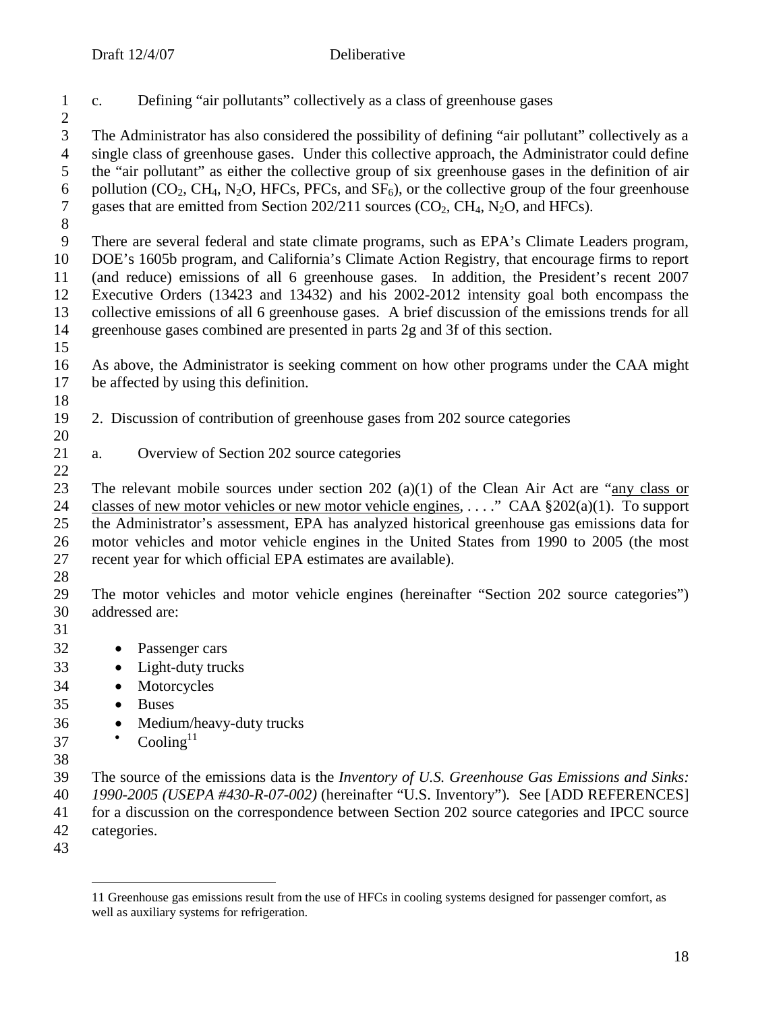| $\mathbf{1}$<br>$\overline{2}$                                       | Defining "air pollutants" collectively as a class of greenhouse gases<br>c.                                                                                                                                                                                                                                                                                                                                                                                                                                                                                                  |
|----------------------------------------------------------------------|------------------------------------------------------------------------------------------------------------------------------------------------------------------------------------------------------------------------------------------------------------------------------------------------------------------------------------------------------------------------------------------------------------------------------------------------------------------------------------------------------------------------------------------------------------------------------|
| 3<br>$\overline{4}$<br>5<br>6<br>$\tau$<br>$8\,$                     | The Administrator has also considered the possibility of defining "air pollutant" collectively as a<br>single class of greenhouse gases. Under this collective approach, the Administrator could define<br>the "air pollutant" as either the collective group of six greenhouse gases in the definition of air<br>pollution ( $CO_2$ , CH <sub>4</sub> , N <sub>2</sub> O, HFCs, PFCs, and $SF_6$ ), or the collective group of the four greenhouse<br>gases that are emitted from Section 202/211 sources (CO <sub>2</sub> , CH <sub>4</sub> , N <sub>2</sub> O, and HFCs). |
| 9<br>10<br>11<br>12<br>13<br>14<br>15                                | There are several federal and state climate programs, such as EPA's Climate Leaders program,<br>DOE's 1605b program, and California's Climate Action Registry, that encourage firms to report<br>(and reduce) emissions of all 6 greenhouse gases. In addition, the President's recent 2007<br>Executive Orders (13423 and 13432) and his 2002-2012 intensity goal both encompass the<br>collective emissions of all 6 greenhouse gases. A brief discussion of the emissions trends for all<br>greenhouse gases combined are presented in parts 2g and 3f of this section.   |
| 16<br>17<br>18                                                       | As above, the Administrator is seeking comment on how other programs under the CAA might<br>be affected by using this definition.                                                                                                                                                                                                                                                                                                                                                                                                                                            |
| 19<br>20                                                             | 2. Discussion of contribution of greenhouse gases from 202 source categories                                                                                                                                                                                                                                                                                                                                                                                                                                                                                                 |
| 21<br>22                                                             | Overview of Section 202 source categories<br>a.                                                                                                                                                                                                                                                                                                                                                                                                                                                                                                                              |
| 23<br>24<br>25<br>26<br>27<br>28                                     | The relevant mobile sources under section 202 (a)(1) of the Clean Air Act are "any class or<br>classes of new motor vehicles or new motor vehicle engines, " CAA $\S202(a)(1)$ . To support<br>the Administrator's assessment, EPA has analyzed historical greenhouse gas emissions data for<br>motor vehicles and motor vehicle engines in the United States from 1990 to 2005 (the most<br>recent year for which official EPA estimates are available).                                                                                                                    |
| 29<br>30<br>31                                                       | The motor vehicles and motor vehicle engines (hereinafter "Section 202 source categories")<br>addressed are:                                                                                                                                                                                                                                                                                                                                                                                                                                                                 |
| 32<br>33<br>34<br>35<br>36<br>37<br>38<br>39<br>40<br>41<br>42<br>43 | Passenger cars<br>Light-duty trucks<br>Motorcycles<br><b>Buses</b><br>Medium/heavy-duty trucks<br>Cooling $11$<br>The source of the emissions data is the Inventory of U.S. Greenhouse Gas Emissions and Sinks:<br>1990-2005 (USEPA #430-R-07-002) (hereinafter "U.S. Inventory"). See [ADD REFERENCES]<br>for a discussion on the correspondence between Section 202 source categories and IPCC source<br>categories.                                                                                                                                                       |

<sup>11</sup> Greenhouse gas emissions result from the use of HFCs in cooling systems designed for passenger comfort, as well as auxiliary systems for refrigeration.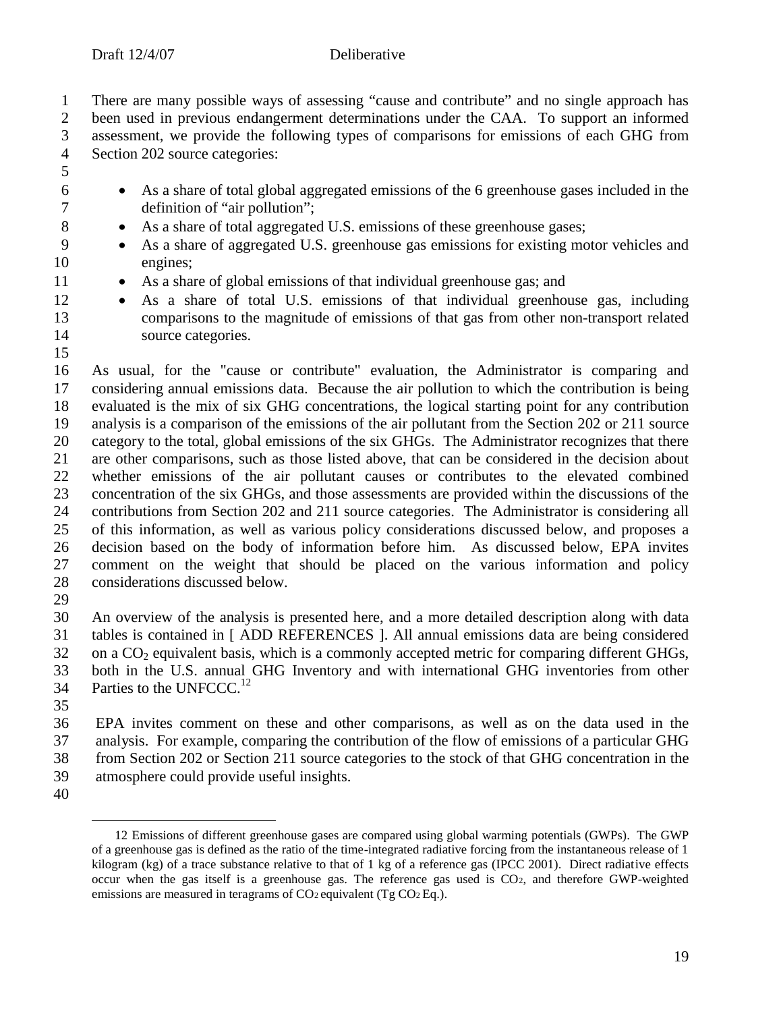1 There are many possible ways of assessing "cause and contribute" and no single approach has<br>2 been used in previous endangerment determinations under the CAA. To support an informed 2 been used in previous endangerment determinations under the CAA. To support an informed<br>3 assessment, we provide the following types of comparisons for emissions of each GHG from assessment, we provide the following types of comparisons for emissions of each GHG from

Section 202 source categories:

- As a share of total global aggregated emissions of the 6 greenhouse gases included in the definition of "air pollution";
- 8 As a share of total aggregated U.S. emissions of these greenhouse gases;
- As a share of aggregated U.S. greenhouse gas emissions for existing motor vehicles and engines;
- 11 As a share of global emissions of that individual greenhouse gas; and
- As a share of total U.S. emissions of that individual greenhouse gas, including comparisons to the magnitude of emissions of that gas from other non-transport related 14 source categories.

 As usual, for the "cause or contribute" evaluation, the Administrator is comparing and considering annual emissions data. Because the air pollution to which the contribution is being evaluated is the mix of six GHG concentrations, the logical starting point for any contribution analysis is a comparison of the emissions of the air pollutant from the Section 202 or 211 source category to the total, global emissions of the six GHGs. The Administrator recognizes that there are other comparisons, such as those listed above, that can be considered in the decision about whether emissions of the air pollutant causes or contributes to the elevated combined concentration of the six GHGs, and those assessments are provided within the discussions of the contributions from Section 202 and 211 source categories. The Administrator is considering all of this information, as well as various policy considerations discussed below, and proposes a decision based on the body of information before him. As discussed below, EPA invites comment on the weight that should be placed on the various information and policy considerations discussed below.

 An overview of the analysis is presented here, and a more detailed description along with data tables is contained in [ ADD REFERENCES ]. All annual emissions data are being considered on a  $CO<sub>2</sub>$  equivalent basis, which is a commonly accepted metric for comparing different GHGs, both in the U.S. annual GHG Inventory and with international GHG inventories from other 34 Parties to the UNFCCC.<sup>12</sup>

 EPA invites comment on these and other comparisons, as well as on the data used in the analysis. For example, comparing the contribution of the flow of emissions of a particular GHG from Section 202 or Section 211 source categories to the stock of that GHG concentration in the

- atmosphere could provide useful insights.
- 

 Emissions of different greenhouse gases are compared using global warming potentials (GWPs). The GWP of a greenhouse gas is defined as the ratio of the time-integrated radiative forcing from the instantaneous release of 1 kilogram (kg) of a trace substance relative to that of 1 kg of a reference gas (IPCC 2001). Direct radiative effects occur when the gas itself is a greenhouse gas. The reference gas used is CO2, and therefore GWP-weighted emissions are measured in teragrams of CO<sub>2</sub> equivalent (Tg CO<sub>2</sub> Eq.).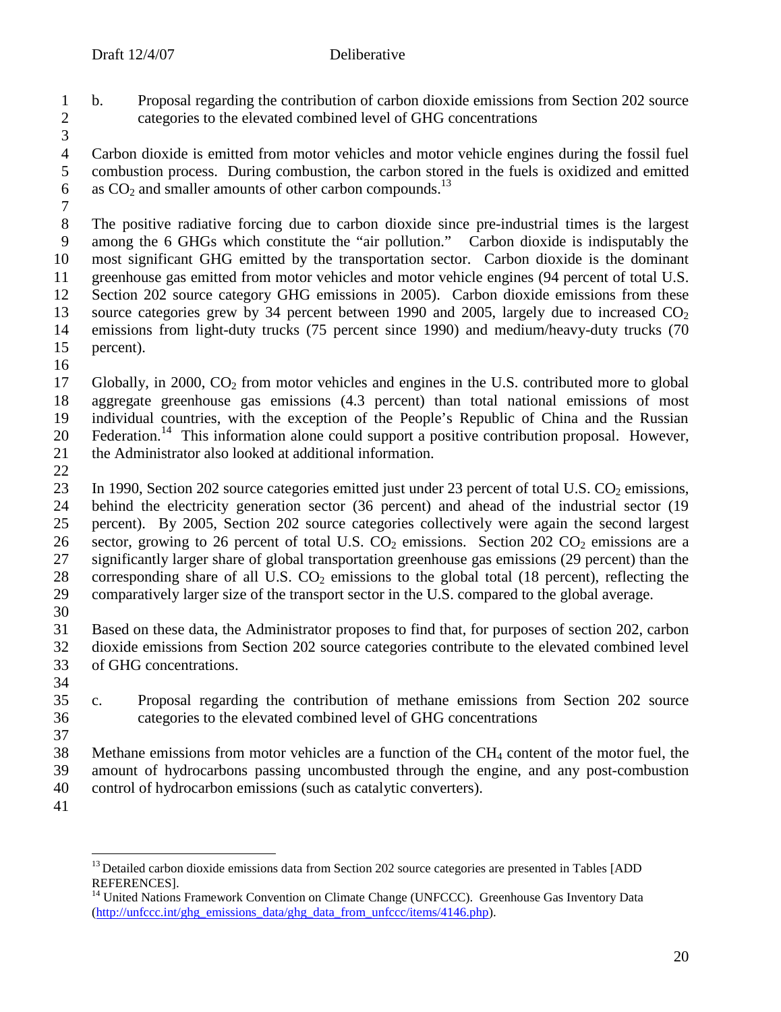- 1 b. Proposal regarding the contribution of carbon dioxide emissions from Section 202 source 2 categories to the elevated combined level of GHG concentrations
- 3

4 Carbon dioxide is emitted from motor vehicles and motor vehicle engines during the fossil fuel<br>5 combustion process. During combustion, the carbon stored in the fuels is oxidized and emitted 5 combustion process. During combustion, the carbon stored in the fuels is oxidized and emitted 6 as  $CO<sub>2</sub>$  and smaller amounts of other carbon compounds.<sup>13</sup>

7

8 The positive radiative forcing due to carbon dioxide since pre-industrial times is the largest<br>9 among the 6 GHGs which constitute the "air pollution." Carbon dioxide is indisputably the among the 6 GHGs which constitute the "air pollution." Carbon dioxide is indisputably the 10 most significant GHG emitted by the transportation sector. Carbon dioxide is the dominant 11 greenhouse gas emitted from motor vehicles and motor vehicle engines (94 percent of total U.S. 12 Section 202 source category GHG emissions in 2005). Carbon dioxide emissions from these<br>13 source categories grew by 34 percent between 1990 and 2005, largely due to increased  $CO<sub>2</sub>$ source categories grew by 34 percent between 1990 and 2005, largely due to increased  $CO<sub>2</sub>$ 14 emissions from light-duty trucks (75 percent since 1990) and medium/heavy-duty trucks (70 percent). percent).

16

17 Globally, in 2000,  $CO<sub>2</sub>$  from motor vehicles and engines in the U.S. contributed more to global 18 aggregate greenhouse gas emissions (4.3 percent) than total national emissions of most 19 individual countries, with the exception of the People's Republic of China and the Russian 20 Federation.<sup>14</sup> This information alone could support a positive contribution proposal. However, 21 the Administrator also looked at additional information.

22

23 In 1990, Section 202 source categories emitted just under 23 percent of total U.S.  $CO<sub>2</sub>$  emissions, 24 behind the electricity generation sector (36 percent) and ahead of the industrial sector (19<br>25 percent). By 2005, Section 202 source categories collectively were again the second largest 25 percent). By 2005, Section 202 source categories collectively were again the second largest 26 sector, growing to 26 percent of total U.S.  $CO_2$  emissions. Section 202  $CO_2$  emissions are a<br>27 significantly larger share of global transportation greenhouse gas emissions (29 percent) than the 27 significantly larger share of global transportation greenhouse gas emissions (29 percent) than the 28 corresponding share of all U.S.  $CO_2$  emissions to the global total (18 percent), reflecting the comparatively larger size of the transport sector in the U.S. compared to the global average. 29 comparatively larger size of the transport sector in the U.S. compared to the global average.

30

31 Based on these data, the Administrator proposes to find that, for purposes of section 202, carbon 32 dioxide emissions from Section 202 source categories contribute to the elevated combined level 33 of GHG concentrations.

34

35 c. Proposal regarding the contribution of methane emissions from Section 202 source 36 categories to the elevated combined level of GHG concentrations 37

38 Methane emissions from motor vehicles are a function of the CH<sup>4</sup> content of the motor fuel, the 39 amount of hydrocarbons passing uncombusted through the engine, and any post-combustion 40 control of hydrocarbon emissions (such as catalytic converters).

41

<sup>&</sup>lt;sup>13</sup> Detailed carbon dioxide emissions data from Section 202 source categories are presented in Tables [ADD REFERENCES].

<sup>&</sup>lt;sup>14</sup> United Nations Framework Convention on Climate Change (UNFCCC). Greenhouse Gas Inventory Data (http://unfccc.int/ghg\_emissions\_data/ghg\_data\_from\_unfccc/items/4146.php).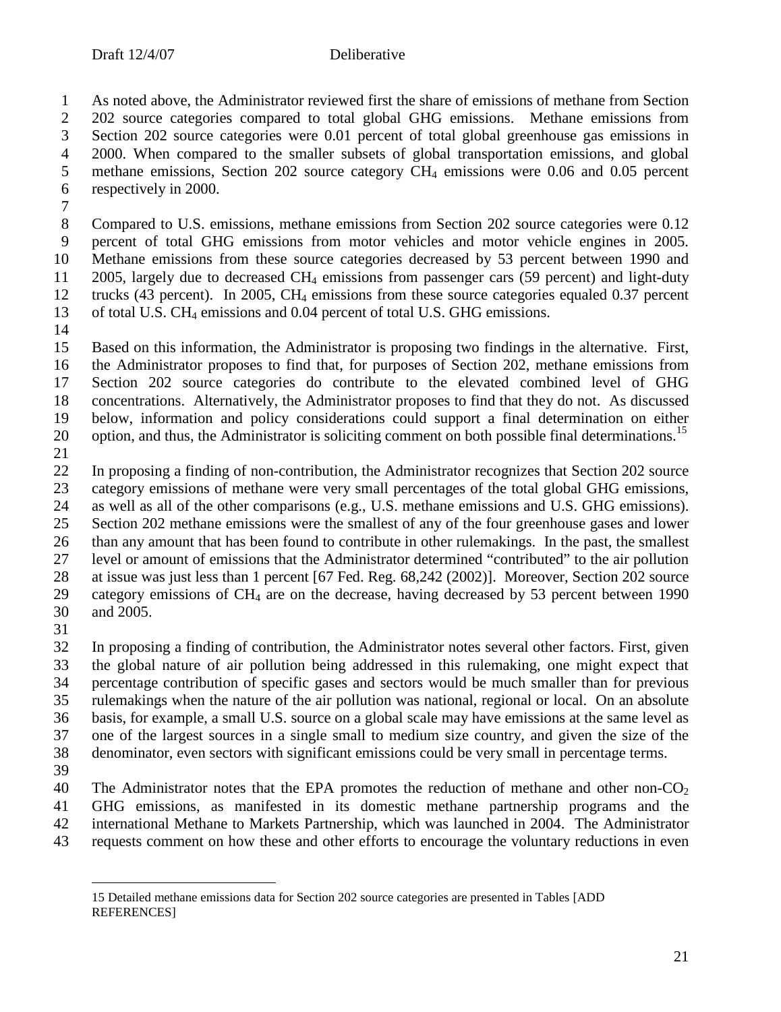As noted above, the Administrator reviewed first the share of emissions of methane from Section 2 202 source categories compared to total global GHG emissions. Methane emissions from<br>3 Section 202 source categories were 0.01 percent of total global greenhouse gas emissions in Section 202 source categories were 0.01 percent of total global greenhouse gas emissions in 4 2000. When compared to the smaller subsets of global transportation emissions, and global methane emissions, Section 202 source category CH<sub>4</sub> emissions were 0.06 and 0.05 percent methane emissions, Section 202 source category  $CH_4$  emissions were 0.06 and 0.05 percent respectively in 2000.

 Compared to U.S. emissions, methane emissions from Section 202 source categories were 0.12 percent of total GHG emissions from motor vehicles and motor vehicle engines in 2005. Methane emissions from these source categories decreased by 53 percent between 1990 and 11 2005, largely due to decreased  $CH_4$  emissions from passenger cars (59 percent) and light-duty 12 trucks (43 percent). In 2005, CH<sub>4</sub> emissions from these source categories equaled 0.37 percent 13 of total U.S. CH<sub>4</sub> emissions and 0.04 percent of total U.S. GHG emissions. of total U.S. CH<sub>4</sub> emissions and 0.04 percent of total U.S. GHG emissions.

 Based on this information, the Administrator is proposing two findings in the alternative. First, the Administrator proposes to find that, for purposes of Section 202, methane emissions from Section 202 source categories do contribute to the elevated combined level of GHG concentrations. Alternatively, the Administrator proposes to find that they do not. As discussed below, information and policy considerations could support a final determination on either 20 option, and thus, the Administrator is soliciting comment on both possible final determinations.<sup>15</sup>

 In proposing a finding of non-contribution, the Administrator recognizes that Section 202 source category emissions of methane were very small percentages of the total global GHG emissions, as well as all of the other comparisons (e.g., U.S. methane emissions and U.S. GHG emissions). Section 202 methane emissions were the smallest of any of the four greenhouse gases and lower than any amount that has been found to contribute in other rulemakings. In the past, the smallest level or amount of emissions that the Administrator determined "contributed" to the air pollution at issue was just less than 1 percent [67 Fed. Reg. 68,242 (2002)]. Moreover, Section 202 source category emissions of CH4 are on the decrease, having decreased by 53 percent between 1990 and 2005.

 In proposing a finding of contribution, the Administrator notes several other factors. First, given the global nature of air pollution being addressed in this rulemaking, one might expect that percentage contribution of specific gases and sectors would be much smaller than for previous rulemakings when the nature of the air pollution was national, regional or local. On an absolute basis, for example, a small U.S. source on a global scale may have emissions at the same level as one of the largest sources in a single small to medium size country, and given the size of the denominator, even sectors with significant emissions could be very small in percentage terms.

40 The Administrator notes that the EPA promotes the reduction of methane and other non- $CO<sub>2</sub>$  GHG emissions, as manifested in its domestic methane partnership programs and the international Methane to Markets Partnership, which was launched in 2004. The Administrator requests comment on how these and other efforts to encourage the voluntary reductions in even

<sup>15</sup> Detailed methane emissions data for Section 202 source categories are presented in Tables [ADD [REFERENCES\]](http://unfccc.int/ghg_emissions_data/ghg_data_from_unfccc/items/4146.php)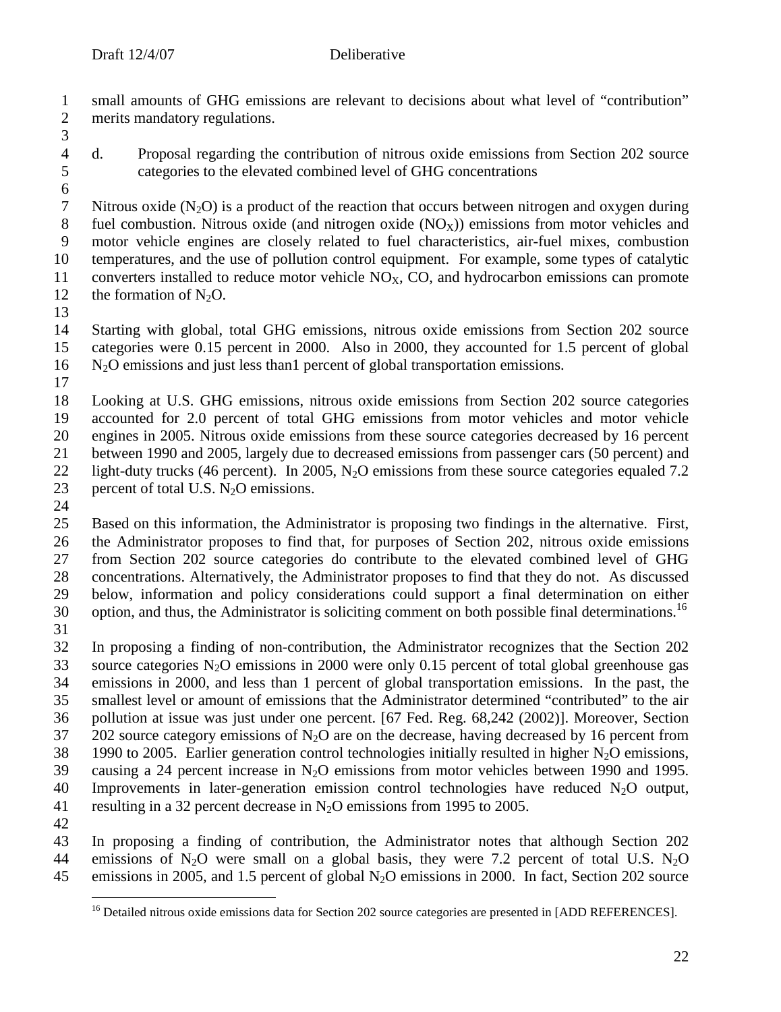1 small amounts of GHG emissions are relevant to decisions about what level of "contribution"<br>2 merits mandatory regulations. merits mandatory regulations.

3

4 d. Proposal regarding the contribution of nitrous oxide emissions from Section 202 source<br>5 categories to the elevated combined level of GHG concentrations 5 categories to the elevated combined level of GHG concentrations

6 7 Nitrous oxide (N<sub>2</sub>O) is a product of the reaction that occurs between nitrogen and oxygen during<br>8 fuel combustion. Nitrous oxide (and nitrogen oxide (NO<sub>x</sub>)) emissions from motor vehicles and 8 fuel combustion. Nitrous oxide (and nitrogen oxide  $(NO_X)$ ) emissions from motor vehicles and<br>9 motor vehicle engines are closely related to fuel characteristics, air-fuel mixes, combustion motor vehicle engines are closely related to fuel characteristics, air-fuel mixes, combustion 10 temperatures, and the use of pollution control equipment. For example, some types of catalytic 11 converters installed to reduce motor vehicle  $NO<sub>X</sub>$ , CO, and hydrocarbon emissions can promote 12 the formation of  $N_2O$ .

13

14 Starting with global, total GHG emissions, nitrous oxide emissions from Section 202 source 15 categories were 0.15 percent in 2000. Also in 2000, they accounted for 1.5 percent of global 16 N2O emissions and just less than1 percent of global transportation emissions.

17

 Looking at U.S. GHG emissions, nitrous oxide emissions from Section 202 source categories accounted for 2.0 percent of total GHG emissions from motor vehicles and motor vehicle engines in 2005. Nitrous oxide emissions from these source categories decreased by 16 percent between 1990 and 2005, largely due to decreased emissions from passenger cars (50 percent) and 22 light-duty trucks (46 percent). In 2005, N<sub>2</sub>O emissions from these source categories equaled 7.2 percent of total U.S. N<sub>2</sub>O emissions. percent of total U.S.  $N_2O$  emissions.

 $\frac{24}{25}$ 

Based on this information, the Administrator is proposing two findings in the alternative. First, the Administrator proposes to find that, for purposes of Section 202, nitrous oxide emissions from Section 202 source categories do contribute to the elevated combined level of GHG concentrations. Alternatively, the Administrator proposes to find that they do not. As discussed below, information and policy considerations could support a final determination on either 30 option, and thus, the Administrator is soliciting comment on both possible final determinations.<sup>16</sup>

31

32 In proposing a finding of non-contribution, the Administrator recognizes that the Section 202 33 source categories  $N_2O$  emissions in 2000 were only 0.15 percent of total global greenhouse gas 34 emissions in 2000, and less than 1 percent of global transportation emissions. In the past, the 35 smallest level or amount of emissions that the Administrator determined "contributed" to the air 36 pollution at issue was just under one percent. [67 Fed. Reg. 68,242 (2002)]. Moreover, Section 37 202 source category emissions of  $N_2O$  are on the decrease, having decreased by 16 percent from 38 1990 to 2005. Earlier generation control technologies initially resulted in higher  $N_2O$  emissions, 39 causing a 24 percent increase in N2O emissions from motor vehicles between 1990 and 1995. 40 Improvements in later-generation emission control technologies have reduced  $N_2O$  output, 41 resulting in a 32 percent decrease in  $N_2O$  emissions from 1995 to 2005.

42

43 In proposing a finding of contribution, the Administrator notes that although Section 202 44 emissions of N<sub>2</sub>O were small on a global basis, they were 7.2 percent of total U.S. N<sub>2</sub>O 45 emissions in 2005, and 1.5 percent of global N<sub>2</sub>O emissions in 2000. In fact, Section 202 source

<sup>&</sup>lt;sup>16</sup> Detailed nitrous oxide emissions data for Section 202 source categories are presented in [ADD REFERENCES].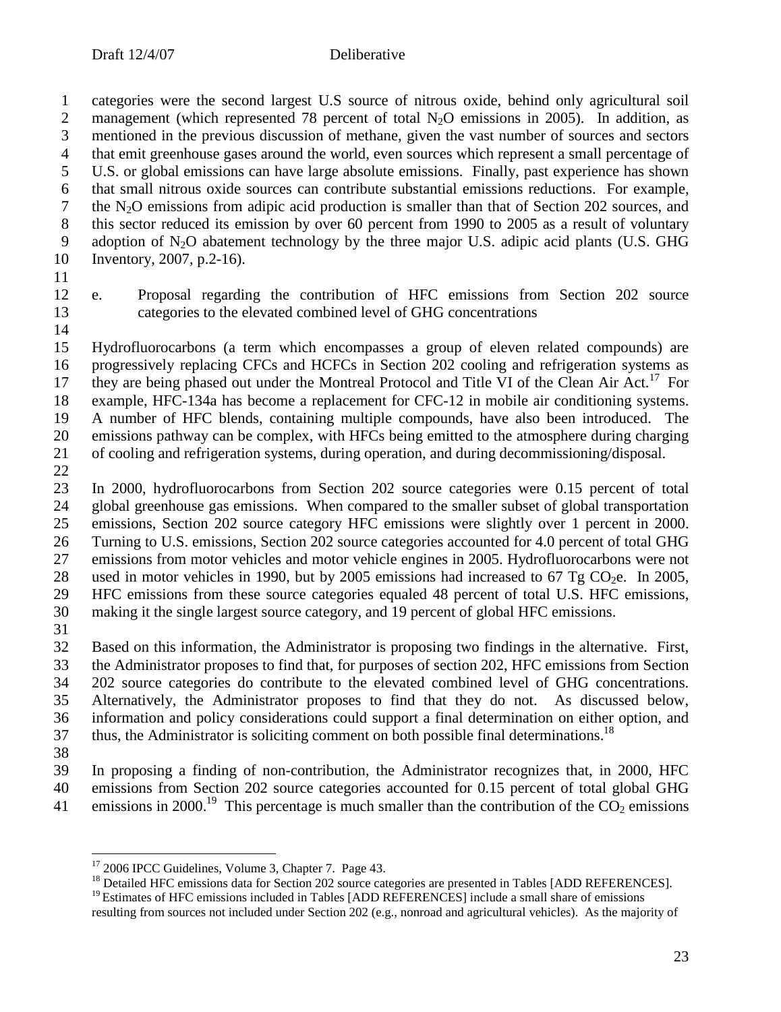categories were the second largest U.S source of nitrous oxide, behind only agricultural soil 2 management (which represented 78 percent of total  $N_2O$  emissions in 2005). In addition, as<br>3 mentioned in the previous discussion of methane, given the vast number of sources and sectors mentioned in the previous discussion of methane, given the vast number of sources and sectors 4 that emit greenhouse gases around the world, even sources which represent a small percentage of U.S. or global emissions can have large absolute emissions. Finally, past experience has shown U.S. or global emissions can have large absolute emissions. Finally, past experience has shown that small nitrous oxide sources can contribute substantial emissions reductions. For example, 7 the N<sub>2</sub>O emissions from adipic acid production is smaller than that of Section 202 sources, and<br>8 this sector reduced its emission by over 60 percent from 1990 to 2005 as a result of voluntary this sector reduced its emission by over 60 percent from 1990 to 2005 as a result of voluntary 9 adoption of  $N_2O$  abatement technology by the three major U.S. adipic acid plants (U.S. GHG Inventory, 2007, p.2-16).

- 
- 

 e. Proposal regarding the contribution of HFC emissions from Section 202 source categories to the elevated combined level of GHG concentrations

- Hydrofluorocarbons (a term which encompasses a group of eleven related compounds) are progressively replacing CFCs and HCFCs in Section 202 cooling and refrigeration systems as 17 they are being phased out under the Montreal Protocol and Title VI of the Clean Air Act.<sup>17</sup> For example, HFC-134a has become a replacement for CFC-12 in mobile air conditioning systems. A number of HFC blends, containing multiple compounds, have also been introduced. The emissions pathway can be complex, with HFCs being emitted to the atmosphere during charging of cooling and refrigeration systems, during operation, and during decommissioning/disposal.
- 

 In 2000, hydrofluorocarbons from Section 202 source categories were 0.15 percent of total 24 global greenhouse gas emissions. When compared to the smaller subset of global transportation<br>25 emissions, Section 202 source category HFC emissions were slightly over 1 percent in 2000. emissions, Section 202 source category HFC emissions were slightly over 1 percent in 2000. Turning to U.S. emissions, Section 202 source categories accounted for 4.0 percent of total GHG emissions from motor vehicles and motor vehicle engines in 2005. Hydrofluorocarbons were not 28 used in motor vehicles in 1990, but by 2005 emissions had increased to 67 Tg CO<sub>2</sub>e. In 2005, <br>29 HFC emissions from these source categories equaled 48 percent of total U.S. HFC emissions, HFC emissions from these source categories equaled 48 percent of total U.S. HFC emissions, making it the single largest source category, and 19 percent of global HFC emissions.

 Based on this information, the Administrator is proposing two findings in the alternative. First, the Administrator proposes to find that, for purposes of section 202, HFC emissions from Section 202 source categories do contribute to the elevated combined level of GHG concentrations. Alternatively, the Administrator proposes to find that they do not. As discussed below, information and policy considerations could support a final determination on either option, and thus, the Administrator is soliciting comment on both possible final determinations.<sup>18</sup>

 In proposing a finding of non-contribution, the Administrator recognizes that, in 2000, HFC emissions from Section 202 source categories accounted for 0.15 percent of total global GHG

41 emissions in 2000.<sup>19</sup> This percentage is much smaller than the contribution of the  $\overline{CO}_2$  emissions

<sup>&</sup>lt;sup>17</sup> 2006 IPCC Guidelines, Volume 3, Chapter 7. Page 43.

<sup>&</sup>lt;sup>18</sup> Detailed HFC emissions data for Section 202 source categories are presented in Tables [ADD REFERENCES].

<sup>&</sup>lt;sup>19</sup> Estimates of HFC emissions included in Tables [ADD REFERENCES] include a small share of emissions resulting from sources not included under Section 202 (e.g., nonroad and agricultural vehicles). As the majority of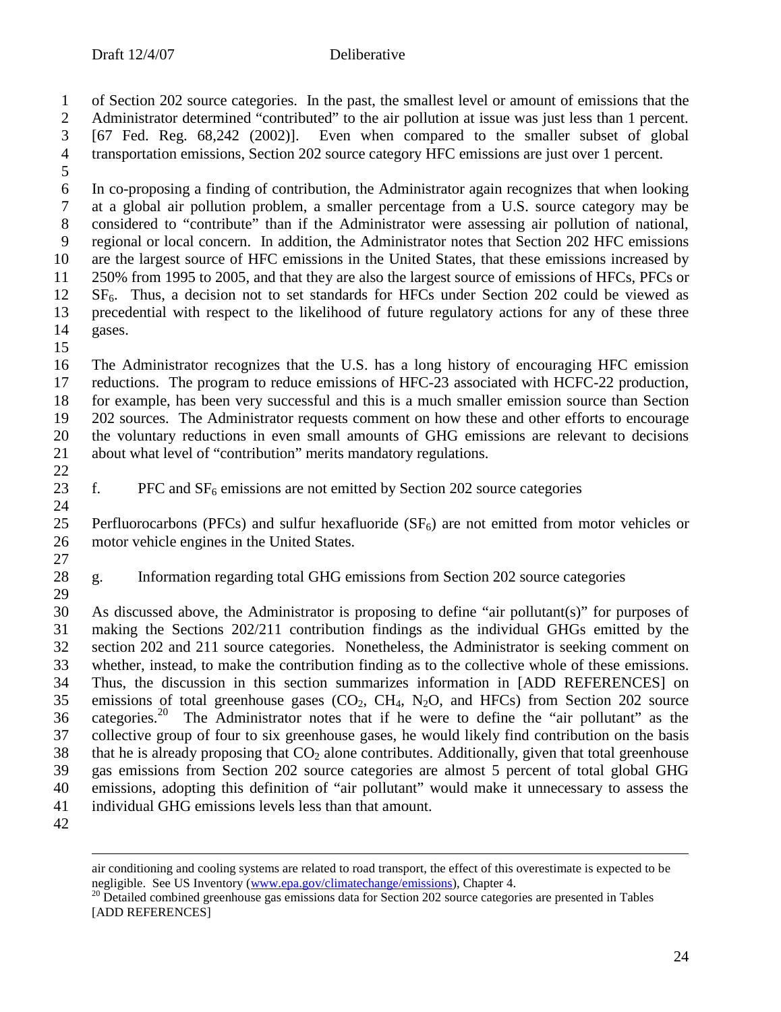of Section 202 source categories. In the past, the smallest level or amount of emissions that the 2 Administrator determined "contributed" to the air pollution at issue was just less than 1 percent.<br>3 [67 Fed. Reg. 68.242 (2002)]. Even when compared to the smaller subset of global  $[67 \text{ Fed.}$  Reg.  $[68,242 \ (2002)]$ . Even when compared to the smaller subset of global transportation emissions, Section 202 source category HFC emissions are just over 1 percent.

 In co-proposing a finding of contribution, the Administrator again recognizes that when looking at a global air pollution problem, a smaller percentage from a U.S. source category may be considered to "contribute" than if the Administrator were assessing air pollution of national, regional or local concern. In addition, the Administrator notes that Section 202 HFC emissions are the largest source of HFC emissions in the United States, that these emissions increased by 250% from 1995 to 2005, and that they are also the largest source of emissions of HFCs, PFCs or SF<sub>6</sub>. Thus, a decision not to set standards for HFCs under Section 202 could be viewed as precedential with respect to the likelihood of future regulatory actions for any of these three precedential with respect to the likelihood of future regulatory actions for any of these three gases.

 The Administrator recognizes that the U.S. has a long history of encouraging HFC emission reductions. The program to reduce emissions of HFC-23 associated with HCFC-22 production, for example, has been very successful and this is a much smaller emission source than Section 202 sources. The Administrator requests comment on how these and other efforts to encourage the voluntary reductions in even small amounts of GHG emissions are relevant to decisions about what level of "contribution" merits mandatory regulations.

23 f. PFC and  $SF<sub>6</sub>$  emissions are not emitted by Section 202 source categories

 $\frac{24}{25}$ Perfluorocarbons (PFCs) and sulfur hexafluoride ( $SF<sub>6</sub>$ ) are not emitted from motor vehicles or motor vehicle engines in the United States. 

 g. Information regarding total GHG emissions from Section 202 source categories 

 As discussed above, the Administrator is proposing to define "air pollutant(s)" for purposes of making the Sections 202/211 contribution findings as the individual GHGs emitted by the section 202 and 211 source categories. Nonetheless, the Administrator is seeking comment on whether, instead, to make the contribution finding as to the collective whole of these emissions. Thus, the discussion in this section summarizes information in [ADD REFERENCES] on 35 emissions of total greenhouse gases  $(CO_2, CH_4, N_2O, and HFCs)$  from Section 202 source 36 categories.<sup>20</sup> The Administrator notes that if he were to define the "air pollutant" as the collective group of four to six greenhouse gases, he would likely find contribution on the basis 38 that he is already proposing that  $CO<sub>2</sub>$  alone contributes. Additionally, given that total greenhouse gas emissions from Section 202 source categories are almost 5 percent of total global GHG emissions, adopting this definition of "air pollutant" would make it unnecessary to assess the individual GHG emissions levels less than that amount.

air conditioning and cooling systems are related to road transport, the effect of this overestimate is expected to be negligible. See US Inventory [\(www.epa.gov/climatechange/emissions](www.epa.gov/climatechange/emissions)), Chapter 4.

<sup>&</sup>lt;sup>20</sup> Detailed combined greenhouse gas emissions data for Section 202 source categories are presented in Tables [ADD REFERENCES]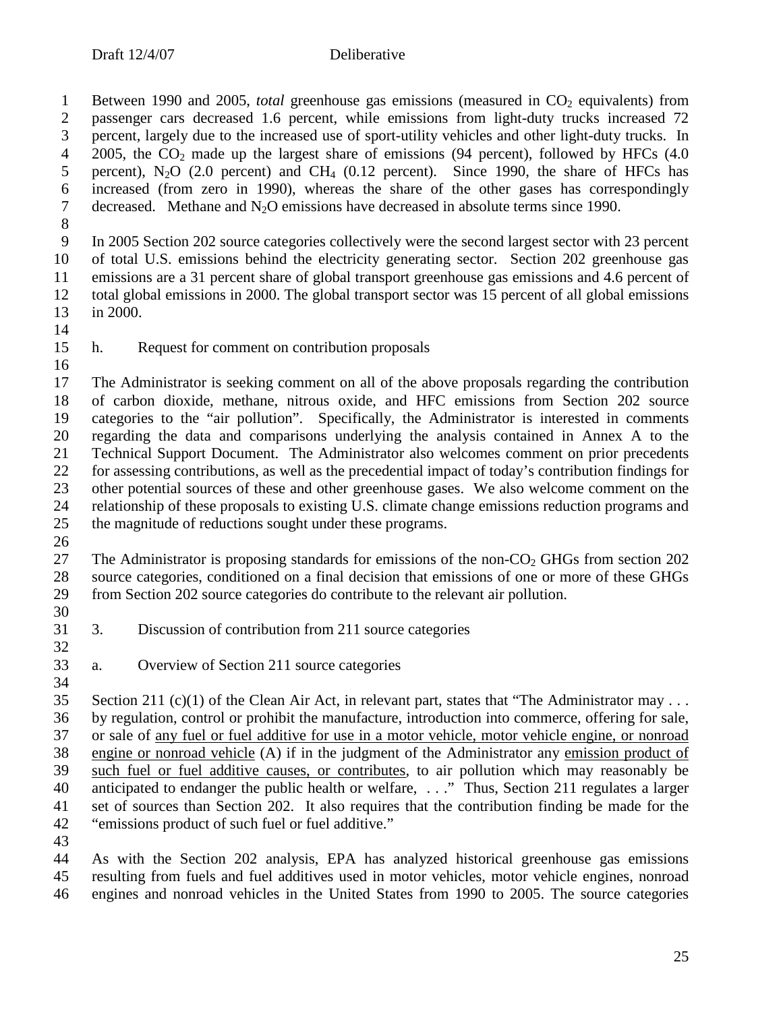1 Between 1990 and 2005, *total* greenhouse gas emissions (measured in CO<sub>2</sub> equivalents) from 2 passenger cars decreased 1.6 percent, while emissions from light-duty trucks increased 72 percent, largely due to the increased use of sport-utility vehicles and other light-duty trucks. In percent, largely due to the increased use of sport-utility vehicles and other light-duty trucks. In 2005, the  $CO_2$  made up the largest share of emissions (94 percent), followed by HFCs (4.0<br>5 percent), N<sub>2</sub>O (2.0 percent) and CH<sub>4</sub> (0.12 percent). Since 1990, the share of HFCs has percent), N<sub>2</sub>O (2.0 percent) and CH<sub>4</sub> (0.12 percent). Since 1990, the share of HFCs has increased (from zero in 1990), whereas the share of the other gases has correspondingly decreased. Methane and N2O emissions have decreased in absolute terms since 1990.

 In 2005 Section 202 source categories collectively were the second largest sector with 23 percent of total U.S. emissions behind the electricity generating sector. Section 202 greenhouse gas emissions are a 31 percent share of global transport greenhouse gas emissions and 4.6 percent of 12 total global emissions in 2000. The global transport sector was 15 percent of all global emissions in 2000. in 2000.

- 
- 
- h. Request for comment on contribution proposals

 The Administrator is seeking comment on all of the above proposals regarding the contribution of carbon dioxide, methane, nitrous oxide, and HFC emissions from Section 202 source categories to the "air pollution". Specifically, the Administrator is interested in comments regarding the data and comparisons underlying the analysis contained in Annex A to the Technical Support Document. The Administrator also welcomes comment on prior precedents for assessing contributions, as well as the precedential impact of today's contribution findings for other potential sources of these and other greenhouse gases. We also welcome comment on the 24 relationship of these proposals to existing U.S. climate change emissions reduction programs and<br>25 the magnitude of reductions sought under these programs. the magnitude of reductions sought under these programs.

27 The Administrator is proposing standards for emissions of the non- $CO<sub>2</sub>$  GHGs from section 202 source categories, conditioned on a final decision that emissions of one or more of these GHGs from Section 202 source categories do contribute to the relevant air pollution.

- 3. Discussion of contribution from 211 source categories
- a. Overview of Section 211 source categories

 Section 211 (c)(1) of the Clean Air Act, in relevant part, states that "The Administrator may . . . by regulation, control or prohibit the manufacture, introduction into commerce, offering for sale, or sale of any fuel or fuel additive for use in a motor vehicle, motor vehicle engine, or nonroad engine or nonroad vehicle (A) if in the judgment of the Administrator any emission product of such fuel or fuel additive causes, or contributes, to air pollution which may reasonably be 40 anticipated to endanger the public health or welfare, ..." Thus, Section 211 regulates a larger set of sources than Section 202. It also requires that the contribution finding be made for the "emissions product of such fuel or fuel additive."

 As with the Section 202 analysis, EPA has analyzed historical greenhouse gas emissions resulting from fuels and fuel additives used in motor vehicles, motor vehicle engines, nonroad engines and nonroad vehicles in the United States from 1990 to 2005. The source categories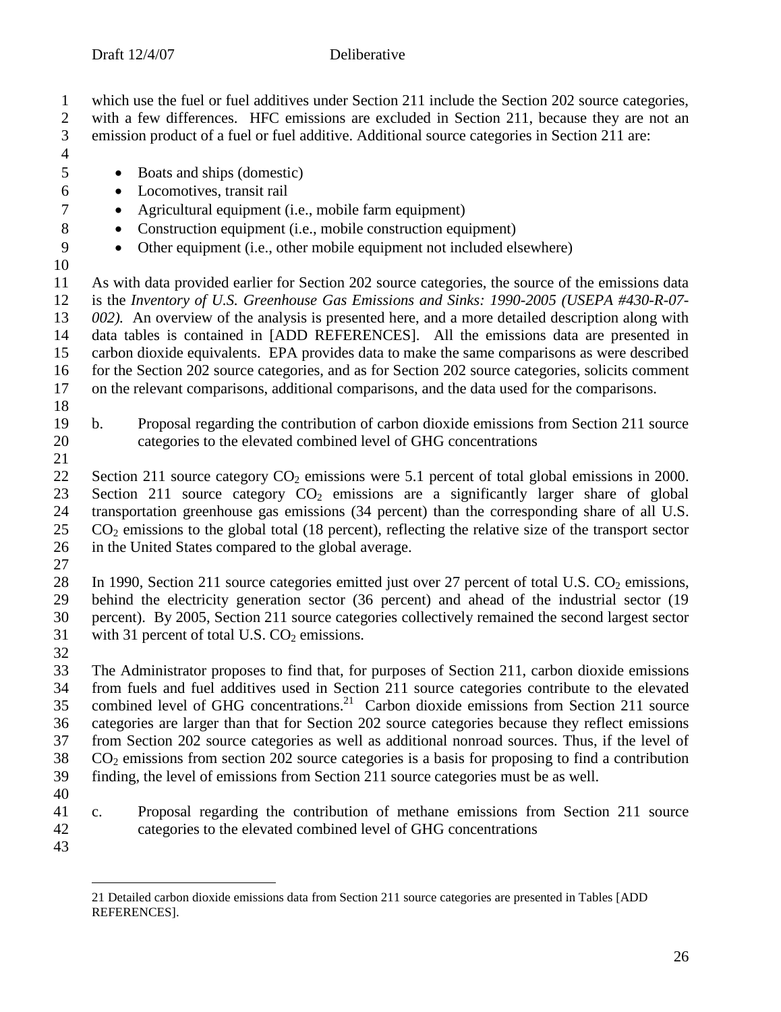which use the fuel or fuel additives under Section 211 include the Section 202 source categories,

2 with a few differences. HFC emissions are excluded in Section 211, because they are not an emission product of a fuel or fuel additive. Additional source categories in Section 211 are: emission product of a fuel or fuel additive. Additional source categories in Section 211 are:

- $\frac{4}{5}$
- Boats and ships (domestic)
- Locomotives, transit rail
- 7 Agricultural equipment (i.e., mobile farm equipment)
- Construction equipment (i.e., mobile construction equipment)
- 9 Other equipment (i.e., other mobile equipment not included elsewhere)
- 

 As with data provided earlier for Section 202 source categories, the source of the emissions data is the *Inventory of U.S. Greenhouse Gas Emissions and Sinks: 1990-2005 (USEPA #430-R-07- 002).* An overview of the analysis is presented here, and a more detailed description along with data tables is contained in [ADD REFERENCES]. All the emissions data are presented in carbon dioxide equivalents. EPA provides data to make the same comparisons as were described for the Section 202 source categories, and as for Section 202 source categories, solicits comment on the relevant comparisons, additional comparisons, and the data used for the comparisons.

 b. Proposal regarding the contribution of carbon dioxide emissions from Section 211 source categories to the elevated combined level of GHG concentrations

22 Section 211 source category  $CO<sub>2</sub>$  emissions were 5.1 percent of total global emissions in 2000. 23 Section 211 source category  $CO<sub>2</sub>$  emissions are a significantly larger share of global transportation greenhouse gas emissions (34 percent) than the corresponding share of all U.S. transportation greenhouse gas emissions (34 percent) than the corresponding share of all U.S. CO<sub>2</sub> emissions to the global total (18 percent), reflecting the relative size of the transport sector in the United States compared to the global average.

 $\frac{27}{28}$ 

In 1990, Section 211 source categories emitted just over 27 percent of total U.S.  $CO<sub>2</sub>$  emissions, behind the electricity generation sector (36 percent) and ahead of the industrial sector (19 percent). By 2005, Section 211 source categories collectively remained the second largest sector 31 with 31 percent of total U.S.  $CO<sub>2</sub>$  emissions.

 The Administrator proposes to find that, for purposes of Section 211, carbon dioxide emissions from fuels and fuel additives used in Section 211 source categories contribute to the elevated 35 combined level of GHG concentrations.<sup>21</sup> Carbon dioxide emissions from Section 211 source categories are larger than that for Section 202 source categories because they reflect emissions from Section 202 source categories as well as additional nonroad sources. Thus, if the level of CO<sub>2</sub> emissions from section 202 source categories is a basis for proposing to find a contribution finding, the level of emissions from Section 211 source categories must be as well.

- 
- c. Proposal regarding the contribution of methane emissions from Section 211 source categories to the elevated combined level of GHG concentrations
- 

<sup>21</sup> Detailed carbon dioxide emissions data from Section 211 source categories are presented in Tables [ADD REFERENCES].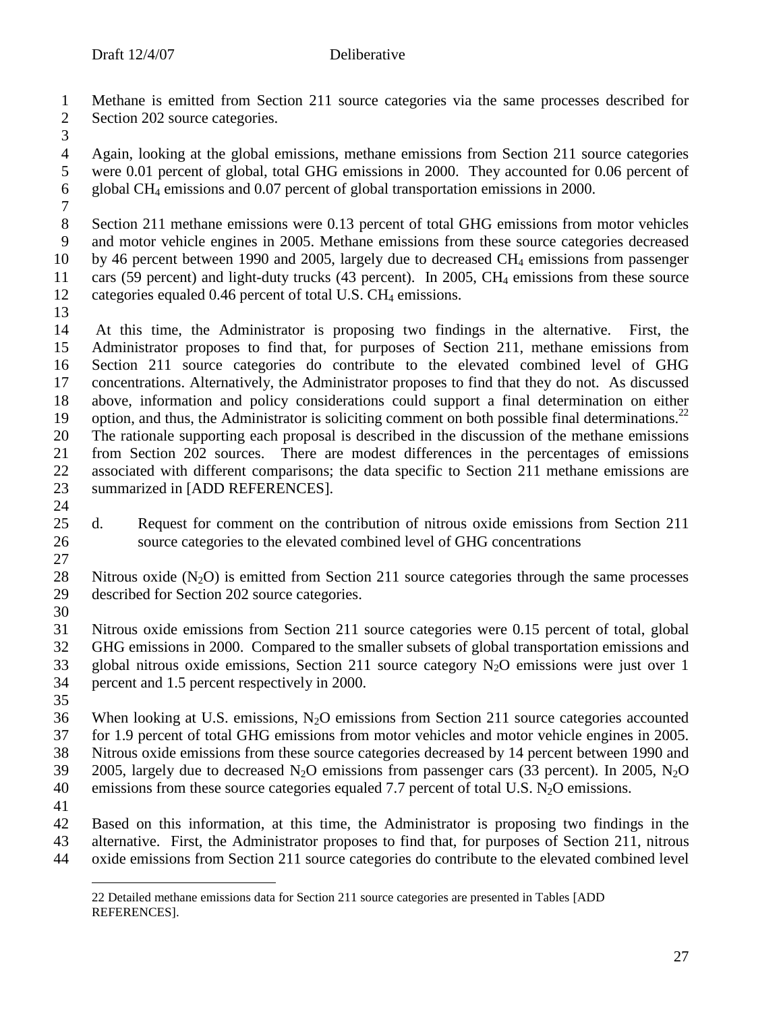Methane is emitted from Section 211 source categories via the same processes described for Section 202 source categories.

4 Again, looking at the global emissions, methane emissions from Section 211 source categories<br>5 were 0.01 percent of global, total GHG emissions in 2000. They accounted for 0.06 percent of were 0.01 percent of global, total GHG emissions in 2000. They accounted for 0.06 percent of global CH4 emissions and 0.07 percent of global transportation emissions in 2000.

 Section 211 methane emissions were 0.13 percent of total GHG emissions from motor vehicles and motor vehicle engines in 2005. Methane emissions from these source categories decreased by 46 percent between 1990 and 2005, largely due to decreased CH4 emissions from passenger 11 cars (59 percent) and light-duty trucks (43 percent). In 2005, CH<sub>4</sub> emissions from these source 12 categories equaled 0.46 percent of total U.S. CH<sub>4</sub> emissions.

14 At this time, the Administrator is proposing two findings in the alternative. First, the 15 Administrator proposes to find that, for purposes of Section 211, methane emissions from Administrator proposes to find that, for purposes of Section 211, methane emissions from Section 211 source categories do contribute to the elevated combined level of GHG concentrations. Alternatively, the Administrator proposes to find that they do not. As discussed above, information and policy considerations could support a final determination on either 19 option, and thus, the Administrator is soliciting comment on both possible final determinations.<sup>22</sup> The rationale supporting each proposal is described in the discussion of the methane emissions from Section 202 sources. There are modest differences in the percentages of emissions associated with different comparisons; the data specific to Section 211 methane emissions are summarized in [ADD REFERENCES].

 $\frac{24}{25}$  d. Request for comment on the contribution of nitrous oxide emissions from Section 211 source categories to the elevated combined level of GHG concentrations 

28 Nitrous oxide  $(N_2O)$  is emitted from Section 211 source categories through the same processes<br>29 described for Section 202 source categories. described for Section 202 source categories.

 Nitrous oxide emissions from Section 211 source categories were 0.15 percent of total, global GHG emissions in 2000. Compared to the smaller subsets of global transportation emissions and 33 global nitrous oxide emissions, Section 211 source category  $N_2O$  emissions were just over 1 percent and 1.5 percent respectively in 2000.

36 When looking at U.S. emissions,  $N_2O$  emissions from Section 211 source categories accounted for 1.9 percent of total GHG emissions from motor vehicles and motor vehicle engines in 2005. Nitrous oxide emissions from these source categories decreased by 14 percent between 1990 and 39 2005, largely due to decreased  $N_2O$  emissions from passenger cars (33 percent). In 2005,  $N_2O$ 40 emissions from these source categories equaled 7.7 percent of total U.S.  $N_2O$  emissions.

 Based on this information, at this time, the Administrator is proposing two findings in the alternative. First, the Administrator proposes to find that, for purposes of Section 211, nitrous oxide emissions from Section 211 source categories do contribute to the elevated combined level

<sup>22</sup> Detailed methane emissions data for Section 211 source categories are presented in Tables [ADD REFERENCES].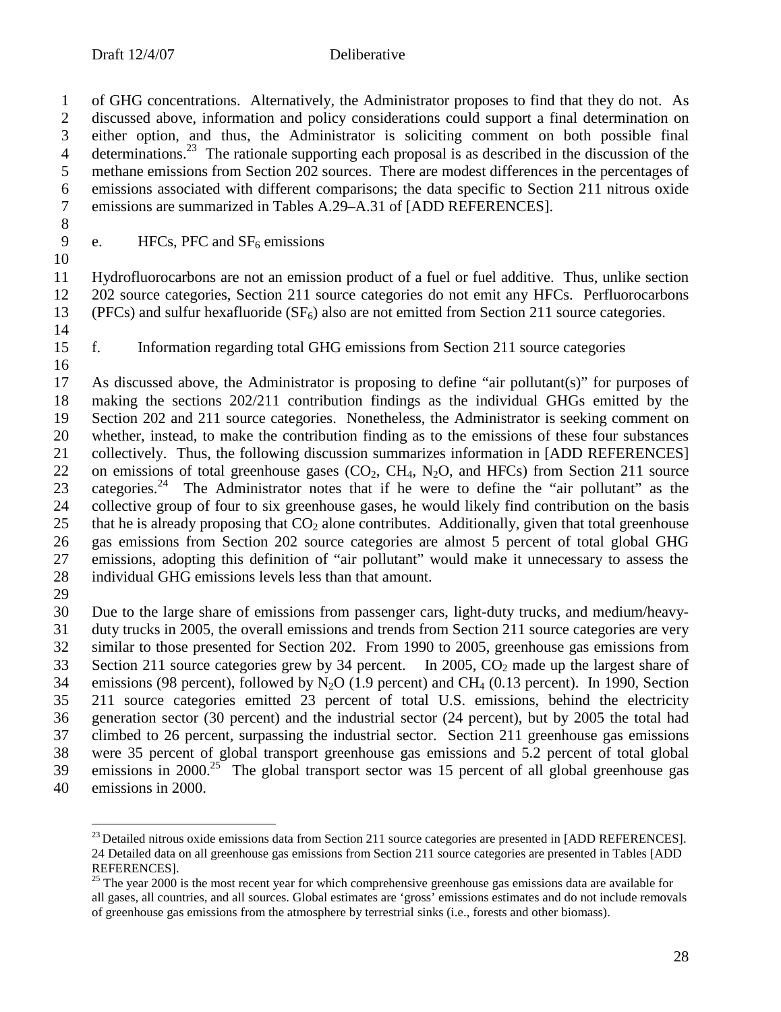of GHG concentrations. Alternatively, the Administrator proposes to find that they do not. As 2 discussed above, information and policy considerations could support a final determination on either option, and thus, the Administrator is soliciting comment on both possible final either option, and thus, the Administrator is soliciting comment on both possible final determinations.<sup>23</sup> The rationale supporting each proposal is as described in the discussion of the methane emissions from Section 202 sources. There are modest differences in the percentages of methane emissions from Section 202 sources. There are modest differences in the percentages of emissions associated with different comparisons; the data specific to Section 211 nitrous oxide emissions are summarized in Tables A.29–A.31 of [ADD REFERENCES].

9 e. HFCs, PFC and  $SF<sub>6</sub>$  emissions

 Hydrofluorocarbons are not an emission product of a fuel or fuel additive. Thus, unlike section 202 source categories, Section 211 source categories do not emit any HFCs. Perfluorocarbons 13 (PFCs) and sulfur hexafluoride  $(SF_6)$  also are not emitted from Section 211 source categories.

f. Information regarding total GHG emissions from Section 211 source categories

 As discussed above, the Administrator is proposing to define "air pollutant(s)" for purposes of making the sections 202/211 contribution findings as the individual GHGs emitted by the Section 202 and 211 source categories. Nonetheless, the Administrator is seeking comment on whether, instead, to make the contribution finding as to the emissions of these four substances collectively. Thus, the following discussion summarizes information in [ADD REFERENCES] 22 on emissions of total greenhouse gases  $(CO_2, CH_4, N_2O, and HFCs)$  from Section 211 source<br>23 categories.<sup>24</sup> The Administrator notes that if he were to define the "air pollutant" as the categories.<sup>24</sup> The Administrator notes that if he were to define the "air pollutant" as the collective group of four to six greenhouse gases, he would likely find contribution on the basis 25 that he is already proposing that  $CO<sub>2</sub>$  alone contributes. Additionally, given that total greenhouse gas emissions from Section 202 source categories are almost 5 percent of total global GHG emissions, adopting this definition of "air pollutant" would make it unnecessary to assess the individual GHG emissions levels less than that amount.

 Due to the large share of emissions from passenger cars, light-duty trucks, and medium/heavy- duty trucks in 2005, the overall emissions and trends from Section 211 source categories are very similar to those presented for Section 202. From 1990 to 2005, greenhouse gas emissions from 33 Section 211 source categories grew by 34 percent. In 2005,  $CO<sub>2</sub>$  made up the largest share of 34 emissions (98 percent), followed by  $N_2O$  (1.9 percent) and CH<sub>4</sub> (0.13 percent). In 1990, Section 211 source categories emitted 23 percent of total U.S. emissions, behind the electricity generation sector (30 percent) and the industrial sector (24 percent), but by 2005 the total had climbed to 26 percent, surpassing the industrial sector. Section 211 greenhouse gas emissions were 35 percent of global transport greenhouse gas emissions and 5.2 percent of total global  $\mu$  39 emissions in 2000.<sup>25</sup> The global transport sector was 15 percent of all global greenhouse gas

emissions in 2000.

 $^{23}$  Detailed nitrous oxide emissions data from Section 211 source categories are presented in [ADD REFERENCES]. Detailed data on all greenhouse gas emissions from Section 211 source categories are presented in Tables [ADD REFERENCES].

 The year 2000 is the most recent year for which comprehensive greenhouse gas emissions data are available for all gases, all countries, and all sources. Global estimates are 'gross' emissions estimates and do not include removals of greenhouse gas emissions from the atmosphere by terrestrial sinks (i.e., forests and other biomass).